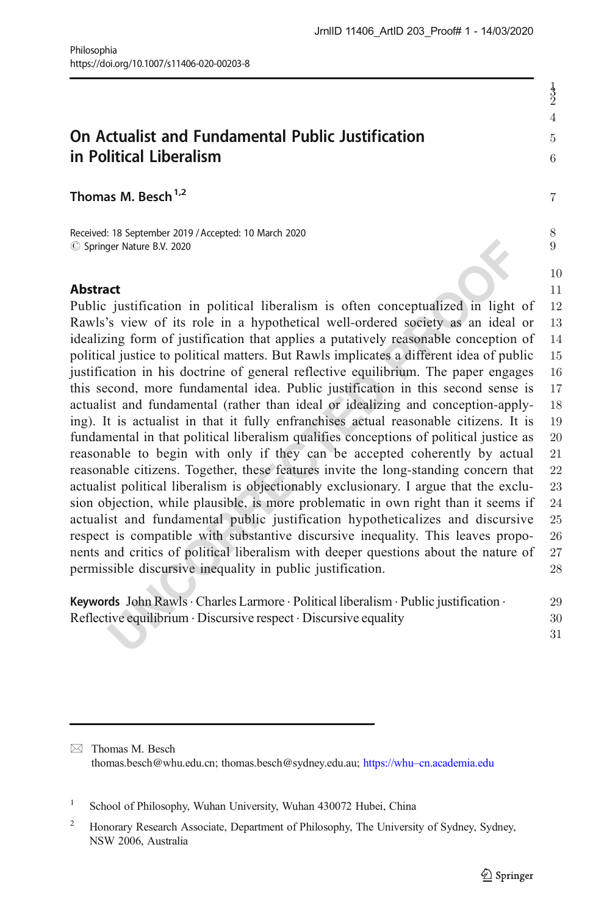$\frac{1}{3}$  $\frac{3}{2}$ 4

10

# On Actualist and Fundamental Public Justification <sup>5</sup> in Political Liberalism <sup>6</sup>

Thomas M. Besch 7 1,2

Received: 18 September 2019 / Accepted: 10 March 2020<br>© Springer Nature RV 2020  $\circledcirc$  Springer Nature B.V. 2020

### Abstract 11

For Nature B.V. 2020<br>
Interfect in a hypothetical well-ordered society as an ideal<br>
ing form of justification that applies a putatively reasonable conception<br>
in lights is view of its role in a hypothetical well-ordered so Public justification in political liberalism is often conceptualized in light of 12 Rawls's view of its role in a hypothetical well-ordered society as an ideal or 13 idealizing form of justification that applies a putatively reasonable conception of 14 political justice to political matters. But Rawls implicates a different idea of public 15 justification in his doctrine of general reflective equilibrium. The paper engages 16 this second, more fundamental idea. Public justification in this second sense is 17 actualist and fundamental (rather than ideal or idealizing and conception-apply- 18 ing). It is actualist in that it fully enfranchises actual reasonable citizens. It is 19 fundamental in that political liberalism qualifies conceptions of political justice as 20 reasonable to begin with only if they can be accepted coherently by actual 21 reasonable citizens. Together, these features invite the long-standing concern that 22 actualist political liberalism is objectionably exclusionary. I argue that the exclu- 23 sion objection, while plausible, is more problematic in own right than it seems if 24 actualist and fundamental public justification hypotheticalizes and discursive 25 respect is compatible with substantive discursive inequality. This leaves propo- 26 nents and critics of political liberalism with deeper questions about the nature of 27 permissible discursive inequality in public justification. 28

Keywords John Rawls · Charles Larmore · Political liberalism · Public justification · 29 Reflective equilibrium . Discursive respect . Discursive equality 30 31

 $\boxtimes$  Thomas M. Besch [thomas.besch@whu.edu.cn](mailto:thomas.besch@whu.edu.cn); [thomas.besch@sydney.edu.au;](mailto:thomas.besch@sydney.edu.au) https://whu–[cn.academia.edu](https://whu-cn.academia.edu)

<sup>&</sup>lt;sup>1</sup> School of Philosophy, Wuhan University, Wuhan 430072 Hubei, China

<sup>&</sup>lt;sup>2</sup> Honorary Research Associate, Department of Philosophy, The University of Sydney, Sydney, NSW 2006, Australia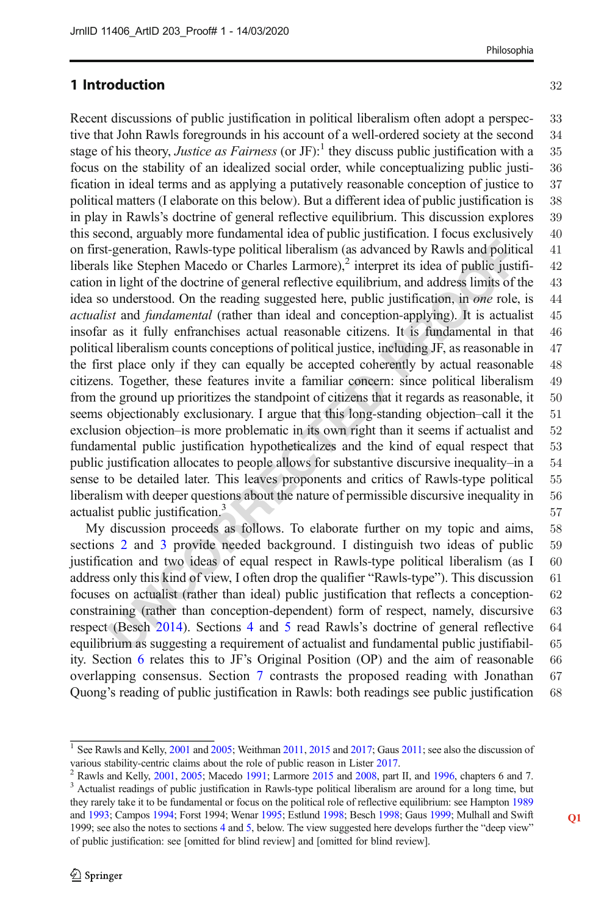### **1 Introduction** 32

-generation, Rawls-type political liberalism (as advanced by Rawls and politic like Stephen Macedo or Charles Lamnore),<sup>2</sup> interpret its idea of public justin light of the doctrine of general reflective equilibrium, and a Recent discussions of public justification in political liberalism often adopt a perspec- 33 tive that John Rawls foregrounds in his account of a well-ordered society at the second 34 stage of his theory, *Justice as Fairness* (or JF):  $\frac{1}{2}$  they discuss public justification with a 35 focus on the stability of an idealized social order, while conceptualizing public justi- 36 fication in ideal terms and as applying a putatively reasonable conception of justice to 37 political matters (I elaborate on this below). But a different idea of public justification is 38 in play in Rawls's doctrine of general reflective equilibrium. This discussion explores 39 this second, arguably more fundamental idea of public justification. I focus exclusively 40 on first-generation, Rawls-type political liberalism (as advanced by Rawls and political 41 liberals like Stephen Macedo or Charles Larmore), $\frac{2}{3}$  interpret its idea of public justifi- 42 cation in light of the doctrine of general reflective equilibrium, and address limits of the 43 idea so understood. On the reading suggested here, public justification, in one role, is 44 actualist and fundamental (rather than ideal and conception-applying). It is actualist 45 insofar as it fully enfranchises actual reasonable citizens. It is fundamental in that 46 political liberalism counts conceptions of political justice, including JF, as reasonable in 47 the first place only if they can equally be accepted coherently by actual reasonable 48 citizens. Together, these features invite a familiar concern: since political liberalism 49 from the ground up prioritizes the standpoint of citizens that it regards as reasonable, it 50 seems objectionably exclusionary. I argue that this long-standing objection–call it the 51 exclusion objection–is more problematic in its own right than it seems if actualist and 52 fundamental public justification hypotheticalizes and the kind of equal respect that 53 public justification allocates to people allows for substantive discursive inequality–in a 54 sense to be detailed later. This leaves proponents and critics of Rawls-type political 55 liberalism with deeper questions about the nature of permissible discursive inequality in 56  $\alpha$  actualist public justification.<sup>3</sup>  $\alpha$  37

My discussion proceeds as follows. To elaborate further on my topic and aims, 58 sections 2 and 3 provide needed background. I distinguish two ideas of public 59 justification and two ideas of equal respect in Rawls-type political liberalism (as I 60 address only this kind of view, I often drop the qualifier "Rawls-type"). This discussion 61 focuses on actualist (rather than ideal) public justification that reflects a conception- 62 constraining (rather than conception-dependent) form of respect, namely, discursive 63 respect (Besch 2014). Sections 4 and 5 read Rawls's doctrine of general reflective 64 equilibrium as suggesting a requirement of actualist and fundamental public justifiabil- 65 ity. Section 6 relates this to JF's Original Position (OP) and the aim of reasonable 66 overlapping consensus. Section 7 contrasts the proposed reading with Jonathan 67 Quong's reading of public justification in Rawls: both readings see public justification 68

<sup>&</sup>lt;sup>1</sup> See Rawls and Kelly, 2001 and 2005; Weithman 2011, 2015 and 2017; Gaus 2011; see also the discussion of

various stability-centric claims about the role of public reason in Lister 2017.<br>
<sup>2</sup> Rawls and Kelly, 2001, 2005; Macedo 1991; Larmore 2015 and 2008, part II, and 1996, chapters 6 and 7.<br>
<sup>3</sup> Actualist readings of public they rarely take it to be fundamental or focus on the political role of reflective equilibrium: see Hampton 1989 and 1993; Campos 1994; Forst 1994; Wenar 1995; Estlund 1998; Besch 1998; Gaus 1999; Mulhall and Swift 01 1999; see also the notes to sections 4 and 5, below. The view suggested here develops further the "deep view" of public justification: see [omitted for blind review] and [omitted for blind review].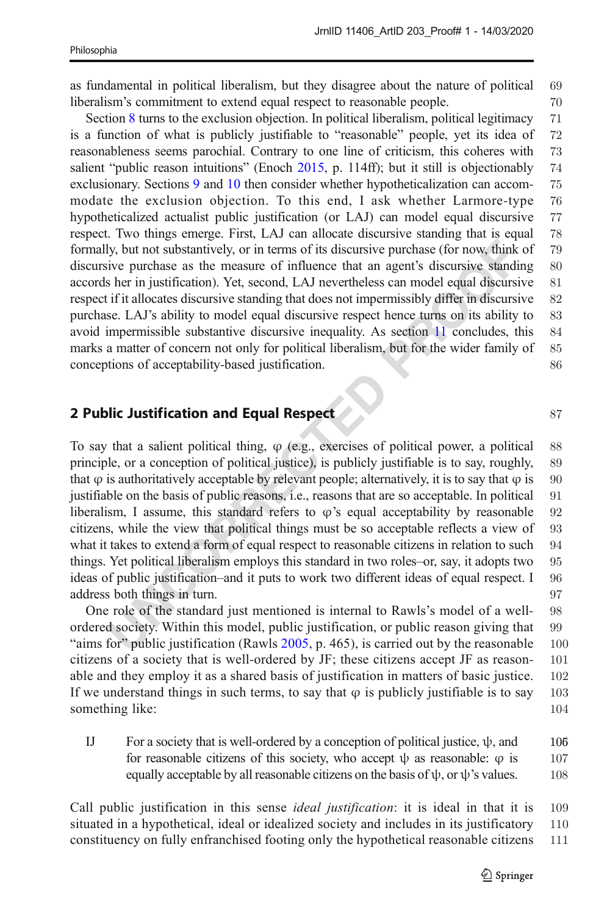as fundamental in political liberalism, but they disagree about the nature of political 69 liberalism's commitment to extend equal respect to reasonable people. 70

Section 8 turns to the exclusion objection. In political liberalism, political legitimacy 71 is a function of what is publicly justifiable to "reasonable" people, yet its idea of 72 reasonableness seems parochial. Contrary to one line of criticism, this coheres with 73 salient "public reason intuitions" (Enoch 2015, p. 114ff); but it still is objectionably 74 exclusionary. Sections 9 and 10 then consider whether hypotheticalization can accom- 75 modate the exclusion objection. To this end, I ask whether Larmore-type 76 hypotheticalized actualist public justification (or LAJ) can model equal discursive 77 respect. Two things emerge. First, LAJ can allocate discursive standing that is equal 78 formally, but not substantively, or in terms of its discursive purchase (for now, think of 79 discursive purchase as the measure of influence that an agent's discursive standing 80 accords her in justification). Yet, second, LAJ nevertheless can model equal discursive 81 respect if it allocates discursive standing that does not impermissibly differ in discursive 82 purchase. LAJ's ability to model equal discursive respect hence turns on its ability to 83 avoid impermissible substantive discursive inequality. As section 11 concludes, this 84 marks a matter of concern not only for political liberalism, but for the wider family of 85 conceptions of acceptability-based justification. 86

#### 2 Public Justification and Equal Respect 87 March 87 87

Iy, but not substantively, or in terms of its discursive purchase (for now, think<br>ive purchase as the measure of influence that an agent's discursive stand<br>in the purchase as the measure of influence that an agent's discu To say that a salient political thing,  $\varphi$  (e.g., exercises of political power, a political 88 principle, or a conception of political justice), is publicly justifiable is to say, roughly, 89 that  $\varphi$  is authoritatively acceptable by relevant people; alternatively, it is to say that  $\varphi$  is 90 justifiable on the basis of public reasons, i.e., reasons that are so acceptable. In political 91 liberalism, I assume, this standard refers to  $\varphi$ 's equal acceptability by reasonable 92 citizens, while the view that political things must be so acceptable reflects a view of 93 what it takes to extend a form of equal respect to reasonable citizens in relation to such 94 things. Yet political liberalism employs this standard in two roles–or, say, it adopts two 95 ideas of public justification–and it puts to work two different ideas of equal respect. I 96 address both things in turn. 97

One role of the standard just mentioned is internal to Rawls's model of a well- 98 ordered society. Within this model, public justification, or public reason giving that 99 "aims for" public justification (Rawls 2005, p. 465), is carried out by the reasonable  $100$ citizens of a society that is well-ordered by JF; these citizens accept JF as reason- 101 able and they employ it as a shared basis of justification in matters of basic justice. 102 If we understand things in such terms, to say that  $\varphi$  is publicly justifiable is to say 103 something like: 104

IJ For a society that is well-ordered by a conception of political justice, ψ, and 106 for reasonable citizens of this society, who accept  $\psi$  as reasonable:  $\varphi$  is 107 equally acceptable by all reasonable citizens on the basis of  $\psi$ , or  $\psi$ 's values. 108

Call public justification in this sense *ideal justification*: it is ideal in that it is 109 situated in a hypothetical, ideal or idealized society and includes in its justificatory 110 constituency on fully enfranchised footing only the hypothetical reasonable citizens 111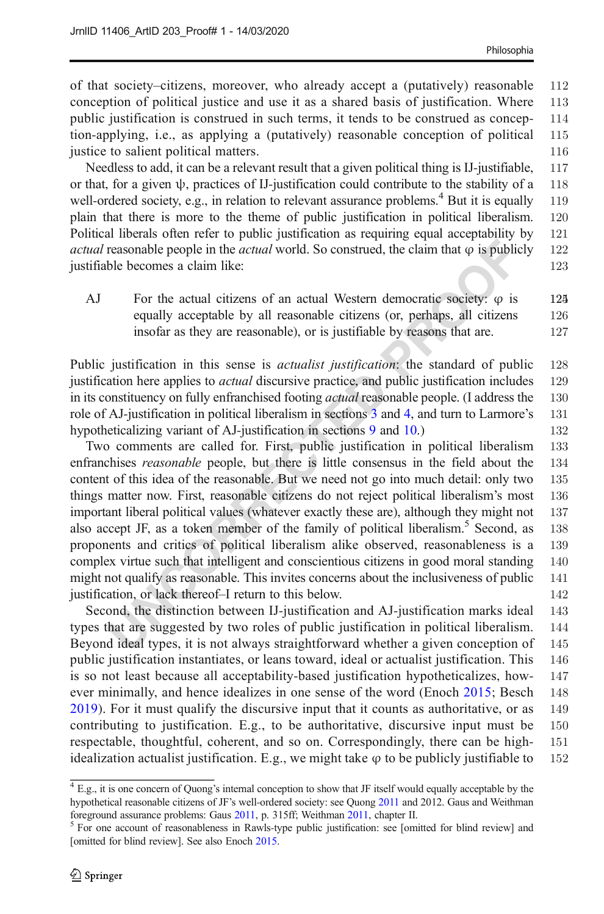of that society–citizens, moreover, who already accept a (putatively) reasonable 112 conception of political justice and use it as a shared basis of justification. Where 113 public justification is construed in such terms, it tends to be construed as concep- 114 tion-applying, i.e., as applying a (putatively) reasonable conception of political 115 justice to salient political matters. 116

Needless to add, it can be a relevant result that a given political thing is IJ-justifiable, 117 or that, for a given ψ, practices of IJ-justification could contribute to the stability of a 118 well-ordered society, e.g., in relation to relevant assurance problems.<sup>4</sup> But it is equally 119 plain that there is more to the theme of public justification in political liberalism. 120 Political liberals often refer to public justification as requiring equal acceptability by 121 actual reasonable people in the *actual* world. So construed, the claim that  $\varphi$  is publicly 122 justifiable becomes a claim like: 123

AJ For the actual citizens of an actual Western democratic society: φ is 1245 equally acceptable by all reasonable citizens (or, perhaps, all citizens 126 insofar as they are reasonable), or is justifiable by reasons that are. 127

Public justification in this sense is *actualist justification*: the standard of public 128 justification here applies to *actual* discursive practice, and public justification includes 129 in its constituency on fully enfranchised footing *actual* reasonable people. (I address the 130 role of AJ-justification in political liberalism in sections 3 and 4, and turn to Larmore's 131 hypotheticalizing variant of AJ-justification in sections 9 and 10.) 132

reasonable people in the *actual* world. So construed, the claim that  $\varphi$  is public<br>ble becomes a claim like:<br>For the actual citizens of an actual Western democratic society:  $\varphi$  is<br>equally acceptable by all reasonabl Two comments are called for. First, public justification in political liberalism 133 enfranchises reasonable people, but there is little consensus in the field about the 134 content of this idea of the reasonable. But we need not go into much detail: only two 135 things matter now. First, reasonable citizens do not reject political liberalism's most 136 important liberal political values (whatever exactly these are), although they might not 137 also accept JF, as a token member of the family of political liberalism.<sup>5</sup> Second, as  $138$ proponents and critics of political liberalism alike observed, reasonableness is a 139 complex virtue such that intelligent and conscientious citizens in good moral standing 140 might not qualify as reasonable. This invites concerns about the inclusiveness of public 141 justification, or lack thereof–I return to this below. 142

Second, the distinction between IJ-justification and AJ-justification marks ideal 143 types that are suggested by two roles of public justification in political liberalism. 144 Beyond ideal types, it is not always straightforward whether a given conception of 145 public justification instantiates, or leans toward, ideal or actualist justification. This 146 is so not least because all acceptability-based justification hypotheticalizes, how- 147 ever minimally, and hence idealizes in one sense of the word (Enoch 2015; Besch 148 2019). For it must qualify the discursive input that it counts as authoritative, or as 149 contributing to justification. E.g., to be authoritative, discursive input must be 150 respectable, thoughtful, coherent, and so on. Correspondingly, there can be high- 151 idealization actualist justification. E.g., we might take  $\varphi$  to be publicly justifiable to 152

<sup>&</sup>lt;sup>4</sup> E.g., it is one concern of Quong's internal conception to show that JF itself would equally acceptable by the hypothetical reasonable citizens of JF's well-ordered society: see Quong 2011 and 2012. Gaus and Weithman foreground assurance problems: Gaus 2011, p. 315ff; Weithman 2011, chapter II.

 $<sup>5</sup>$  For one account of reasonableness in Rawls-type public justification: see [omitted for blind review] and</sup> [omitted for blind review]. See also Enoch 2015.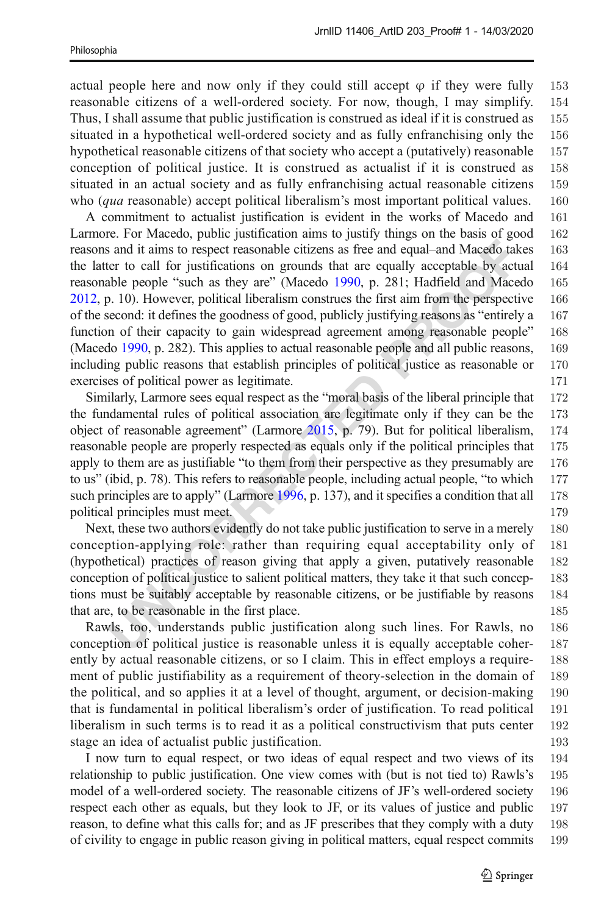actual people here and now only if they could still accept  $\varphi$  if they were fully 153 reasonable citizens of a well-ordered society. For now, though, I may simplify. 154 Thus, I shall assume that public justification is construed as ideal if it is construed as 155 situated in a hypothetical well-ordered society and as fully enfranchising only the 156 hypothetical reasonable citizens of that society who accept a (putatively) reasonable 157 conception of political justice. It is construed as actualist if it is construed as 158 situated in an actual society and as fully enfranchising actual reasonable citizens 159 who *(qua* reasonable) accept political liberalism's most important political values. 160

s and it aims to respect reasonable citizens as free and equal-and Macedo take<br>the to call for justifications on grounds that are equally acceptable by act<br>ble people "such as they are" (Macedo 1990, p. 281; Hadfield and M A commitment to actualist justification is evident in the works of Macedo and 161 Larmore. For Macedo, public justification aims to justify things on the basis of good 162 reasons and it aims to respect reasonable citizens as free and equal–and Macedo takes 163 the latter to call for justifications on grounds that are equally acceptable by actual 164 reasonable people "such as they are" (Macedo 1990, p. 281; Hadfield and Macedo 165 2012, p. 10). However, political liberalism construes the first aim from the perspective 166 of the second: it defines the goodness of good, publicly justifying reasons as "entirely a 167 function of their capacity to gain widespread agreement among reasonable people" 168 (Macedo 1990, p. 282). This applies to actual reasonable people and all public reasons, 169 including public reasons that establish principles of political justice as reasonable or 170 exercises of political power as legitimate. 171

Similarly, Larmore sees equal respect as the "moral basis of the liberal principle that 172 the fundamental rules of political association are legitimate only if they can be the 173 object of reasonable agreement" (Larmore 2015, p. 79). But for political liberalism, 174 reasonable people are properly respected as equals only if the political principles that 175 apply to them are as justifiable "to them from their perspective as they presumably are 176 to us" (ibid, p. 78). This refers to reasonable people, including actual people, "to which 177 such principles are to apply" (Larmore 1996, p. 137), and it specifies a condition that all 178 political principles must meet. 179

Next, these two authors evidently do not take public justification to serve in a merely 180 conception-applying role: rather than requiring equal acceptability only of 181 (hypothetical) practices of reason giving that apply a given, putatively reasonable 182 conception of political justice to salient political matters, they take it that such concep- 183 tions must be suitably acceptable by reasonable citizens, or be justifiable by reasons 184 that are, to be reasonable in the first place. 185

Rawls, too, understands public justification along such lines. For Rawls, no 186 conception of political justice is reasonable unless it is equally acceptable coher- 187 ently by actual reasonable citizens, or so I claim. This in effect employs a require- 188 ment of public justifiability as a requirement of theory-selection in the domain of 189 the political, and so applies it at a level of thought, argument, or decision-making 190 that is fundamental in political liberalism's order of justification. To read political 191 liberalism in such terms is to read it as a political constructivism that puts center 192 stage an idea of actualist public justification. 193

I now turn to equal respect, or two ideas of equal respect and two views of its 194 relationship to public justification. One view comes with (but is not tied to) Rawls's 195 model of a well-ordered society. The reasonable citizens of JF's well-ordered society 196 respect each other as equals, but they look to JF, or its values of justice and public 197 reason, to define what this calls for; and as JF prescribes that they comply with a duty 198 of civility to engage in public reason giving in political matters, equal respect commits 199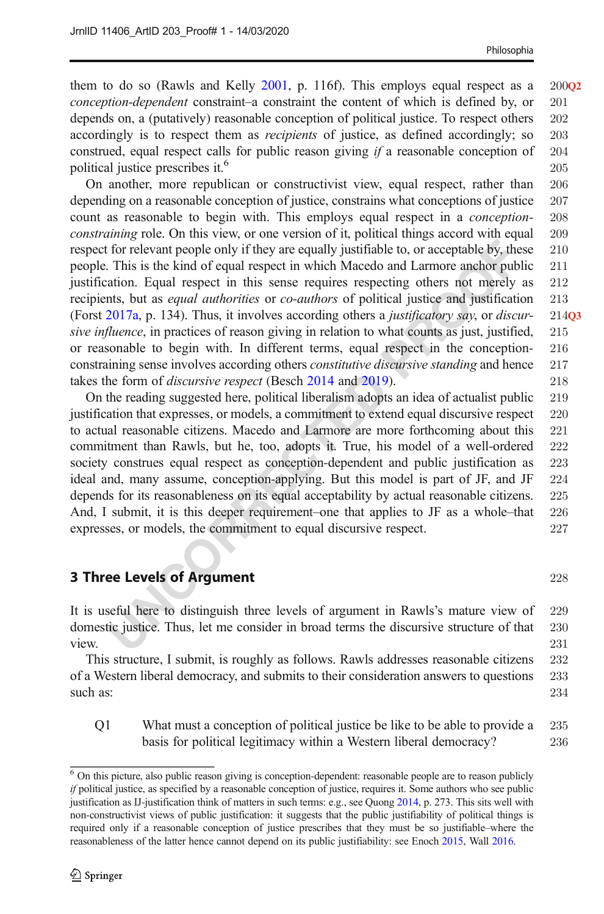them to do so (Rawls and Kelly 2001, p. 116f). This employs equal respect as a 200Q2 conception-dependent constraint–a constraint the content of which is defined by, or 201 depends on, a (putatively) reasonable conception of political justice. To respect others 202 accordingly is to respect them as recipients of justice, as defined accordingly; so 203 construed, equal respect calls for public reason giving if a reasonable conception of  $204$ political justice prescribes it. 205 <sup>6</sup>

for relevant people only if they are equally justifiable to, or acceptable by, the This is the kind of equal respect in which Macedo and Lammor anehor pub<br>ation. Equal respect in this sense requires respecting others not On another, more republican or constructivist view, equal respect, rather than 206 depending on a reasonable conception of justice, constrains what conceptions of justice 207 count as reasonable to begin with. This employs equal respect in a conception- 208 constraining role. On this view, or one version of it, political things accord with equal 209 respect for relevant people only if they are equally justifiable to, or acceptable by, these 210 people. This is the kind of equal respect in which Macedo and Larmore anchor public 211 justification. Equal respect in this sense requires respecting others not merely as 212 recipients, but as *equal authorities* or *co-authors* of political justice and justification 213 (Forst 2017a, p. 134). Thus, it involves according others a *justificatory say*, or *discur-* 21403 sive influence, in practices of reason giving in relation to what counts as just, justified, 215 or reasonable to begin with. In different terms, equal respect in the conception- 216 constraining sense involves according others constitutive discursive standing and hence 217 takes the form of *discursive respect* (Besch 2014 and 2019). 218

On the reading suggested here, political liberalism adopts an idea of actualist public 219 justification that expresses, or models, a commitment to extend equal discursive respect 220 to actual reasonable citizens. Macedo and Larmore are more forthcoming about this 221 commitment than Rawls, but he, too, adopts it. True, his model of a well-ordered 222 society construes equal respect as conception-dependent and public justification as 223 ideal and, many assume, conception-applying. But this model is part of JF, and JF 224 depends for its reasonableness on its equal acceptability by actual reasonable citizens. 225 And, I submit, it is this deeper requirement–one that applies to JF as a whole–that 226 expresses, or models, the commitment to equal discursive respect. 227

# 3 Three Levels of Argument 228

It is useful here to distinguish three levels of argument in Rawls's mature view of 229 domestic justice. Thus, let me consider in broad terms the discursive structure of that 230 view. 231

This structure, I submit, is roughly as follows. Rawls addresses reasonable citizens 232 of a Western liberal democracy, and submits to their consideration answers to questions 233 such as: 234

Q1 What must a conception of political justice be like to be able to provide a 235 basis for political legitimacy within a Western liberal democracy? 236

<sup>6</sup> On this picture, also public reason giving is conception-dependent: reasonable people are to reason publicly if political justice, as specified by a reasonable conception of justice, requires it. Some authors who see public justification as IJ-justification think of matters in such terms: e.g., see Quong 2014, p. 273. This sits well with non-constructivist views of public justification: it suggests that the public justifiability of political things is required only if a reasonable conception of justice prescribes that they must be so justifiable–where the reasonableness of the latter hence cannot depend on its public justifiability: see Enoch 2015, Wall 2016.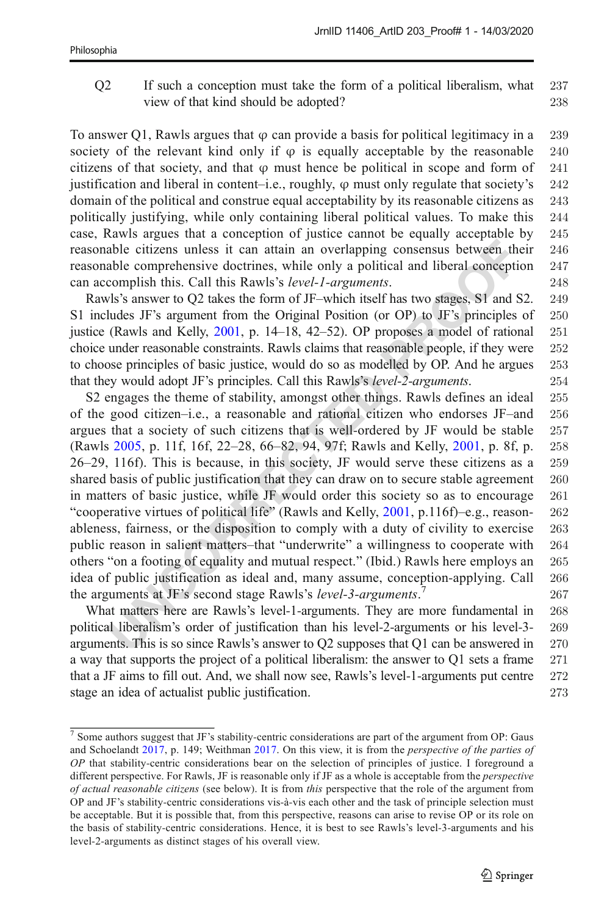Q2 If such a conception must take the form of a political liberalism, what 237 view of that kind should be adopted? 238

To answer Q1, Rawls argues that  $\varphi$  can provide a basis for political legitimacy in a 239 society of the relevant kind only if  $\varphi$  is equally acceptable by the reasonable 240 citizens of that society, and that  $\varphi$  must hence be political in scope and form of 241 justification and liberal in content–i.e., roughly,  $\varphi$  must only regulate that society's 242 domain of the political and construe equal acceptability by its reasonable citizens as 243 politically justifying, while only containing liberal political values. To make this 244 case, Rawls argues that a conception of justice cannot be equally acceptable by 245 reasonable citizens unless it can attain an overlapping consensus between their 246 reasonable comprehensive doctrines, while only a political and liberal conception 247 can accomplish this. Call this Rawls's level-1-arguments. 248

Rawls's answer to Q2 takes the form of JF–which itself has two stages, S1 and S2. 249 S1 includes JF's argument from the Original Position (or OP) to JF's principles of 250 justice (Rawls and Kelly, 2001, p. 14–18, 42–52). OP proposes a model of rational 251 choice under reasonable constraints. Rawls claims that reasonable people, if they were 252 to choose principles of basic justice, would do so as modelled by OP. And he argues 253 that they would adopt JF's principles. Call this Rawls's level-2-arguments. 254

able citizens unless it can attain an overlapping consensus between the<br>bele comprehensive doctrines, while only a political and liberal conceptic<br>complish this. Call this Rawls's level-1-arguments.<br>This is answer to Q2 t S2 engages the theme of stability, amongst other things. Rawls defines an ideal 255 of the good citizen–i.e., a reasonable and rational citizen who endorses JF–and 256 argues that a society of such citizens that is well-ordered by JF would be stable 257 (Rawls 2005, p. 11f, 16f, 22–28, 66–82, 94, 97f; Rawls and Kelly, 2001, p. 8f, p. 258 26–29, 116f). This is because, in this society, JF would serve these citizens as a 259 shared basis of public justification that they can draw on to secure stable agreement 260 in matters of basic justice, while JF would order this society so as to encourage 261 "cooperative virtues of political life" (Rawls and Kelly, 2001, p.116f)–e.g., reason- 262 ableness, fairness, or the disposition to comply with a duty of civility to exercise 263 public reason in salient matters–that "underwrite" a willingness to cooperate with 264 others "on a footing of equality and mutual respect." (Ibid.) Rawls here employs an 265 idea of public justification as ideal and, many assume, conception-applying. Call 266 the arguments at JF's second stage Rawls's *level-3-arguments*.<sup>7</sup> 267

What matters here are Rawls's level-1-arguments. They are more fundamental in 268 political liberalism's order of justification than his level-2-arguments or his level-3- 269 arguments. This is so since Rawls's answer to Q2 supposes that Q1 can be answered in 270 a way that supports the project of a political liberalism: the answer to Q1 sets a frame 271 that a JF aims to fill out. And, we shall now see, Rawls's level-1-arguments put centre 272 stage an idea of actualist public justification. 273

<sup>7</sup> Some authors suggest that JF's stability-centric considerations are part of the argument from OP: Gaus and Schoelandt 2017, p. 149; Weithman 2017. On this view, it is from the perspective of the parties of OP that stability-centric considerations bear on the selection of principles of justice. I foreground a different perspective. For Rawls, JF is reasonable only if JF as a whole is acceptable from the perspective of actual reasonable citizens (see below). It is from this perspective that the role of the argument from OP and JF's stability-centric considerations vis-à-vis each other and the task of principle selection must be acceptable. But it is possible that, from this perspective, reasons can arise to revise OP or its role on the basis of stability-centric considerations. Hence, it is best to see Rawls's level-3-arguments and his level-2-arguments as distinct stages of his overall view.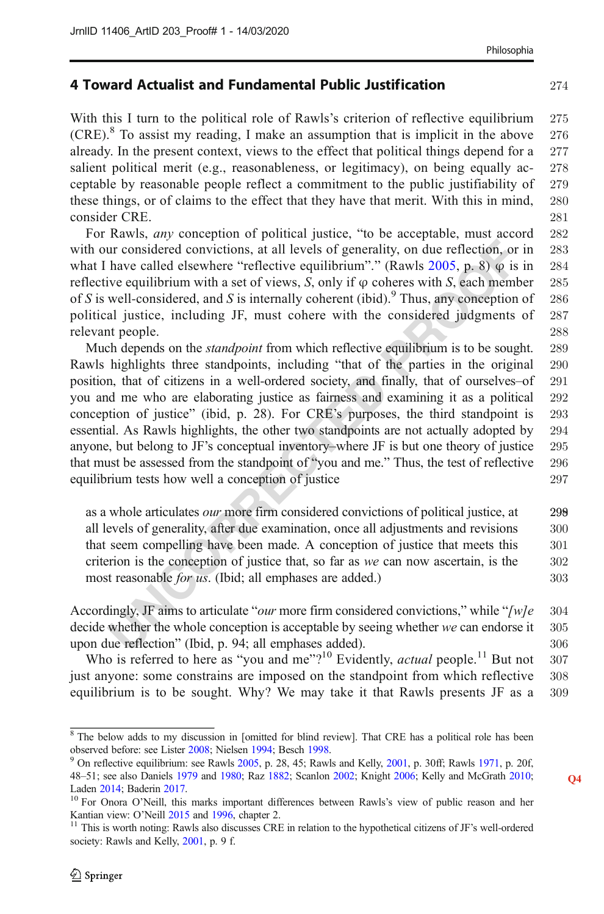### 4 Toward Actualist and Fundamental Public Justification 274

With this I turn to the political role of Rawls's criterion of reflective equilibrium 275 (CRE).<sup>8</sup> To assist my reading, I make an assumption that is implicit in the above  $276$ already. In the present context, views to the effect that political things depend for a 277 salient political merit (e.g., reasonableness, or legitimacy), on being equally ac-  $278$ ceptable by reasonable people reflect a commitment to the public justifiability of 279 these things, or of claims to the effect that they have that merit. With this in mind, 280 consider CRE. 281

For Rawls, any conception of political justice, "to be acceptable, must accord 282 with our considered convictions, at all levels of generality, on due reflection, or in 283 what I have called elsewhere "reflective equilibrium"." (Rawls 2005, p. 8)  $\varphi$  is in 284 reflective equilibrium with a set of views, S, only if  $\varphi$  coheres with S, each member 285 of S is well-considered, and S is internally coherent (ibid). <sup>9</sup> Thus, any conception of 286 political justice, including JF, must cohere with the considered judgments of 287 relevant people. 288

ur considered convictions, at all levels of generality, on due reflection, or<br>have called elsewhere "reflective equilibrium"." (Rawls 2005, p. 8)  $\varphi$  is<br>ive equilibrium with a set of views, S, only if  $\varphi$  coheres with Much depends on the *standpoint* from which reflective equilibrium is to be sought. 289 Rawls highlights three standpoints, including "that of the parties in the original 290 position, that of citizens in a well-ordered society, and finally, that of ourselves–of 291 you and me who are elaborating justice as fairness and examining it as a political 292 conception of justice" (ibid, p. 28). For CRE's purposes, the third standpoint is 293 essential. As Rawls highlights, the other two standpoints are not actually adopted by 294 anyone, but belong to JF's conceptual inventory–where JF is but one theory of justice 295 that must be assessed from the standpoint of "you and me." Thus, the test of reflective 296 equilibrium tests how well a conception of justice 297

as a whole articulates *our* more firm considered convictions of political justice, at 299 all levels of generality, after due examination, once all adjustments and revisions 300 that seem compelling have been made. A conception of justice that meets this 301 criterion is the conception of justice that, so far as we can now ascertain, is the 302 most reasonable *for us*. (Ibid; all emphases are added.) 303

Accordingly, JF aims to articulate "our more firm considered convictions," while " $\int w \cdot \frac{1}{2}$  304 decide whether the whole conception is acceptable by seeing whether we can endorse it 305 upon due reflection" (Ibid, p. 94; all emphases added). 306

Who is referred to here as "you and me"?<sup>10</sup> Evidently, *actual* people.<sup>11</sup> But not 307 just anyone: some constrains are imposed on the standpoint from which reflective 308 equilibrium is to be sought. Why? We may take it that Rawls presents JF as a 309

<sup>&</sup>lt;sup>8</sup> The below adds to my discussion in [omitted for blind review]. That CRE has a political role has been observed before: see Lister 2008; Nielsen 1994; Besch 1998.<br><sup>9</sup> On reflective equilibrium: see Rawls 2005, p. 28, 45; Rawls and Kelly, 2001, p. 30ff; Rawls 1971, p. 20f,

<sup>48–51;</sup> see also Daniels 1979 and 1980; Raz 1882; Scanlon 2002; Knight 2006; Kelly and McGrath 2010;  $Q4$ <br>Laden 2014: Baderin 2017.

<sup>&</sup>lt;sup>10</sup> For Onora O'Neill, this marks important differences between Rawls's view of public reason and her Kantian view: O'Neill 2015 and 1996, chapter 2.<br><sup>11</sup> This is worth noting: Rawls also discusses CRE in relation to the hypothetical citizens of JF's well-ordered

society: Rawls and Kelly, 2001, p. 9 f.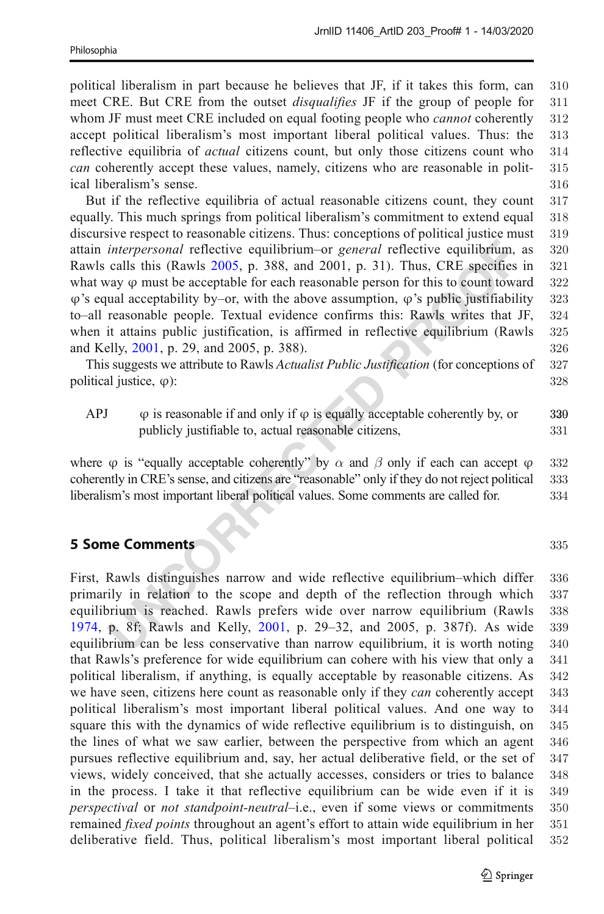political liberalism in part because he believes that JF, if it takes this form, can 310 meet CRE. But CRE from the outset disqualifies JF if the group of people for 311 whom JF must meet CRE included on equal footing people who *cannot* coherently 312 accept political liberalism's most important liberal political values. Thus: the 313 reflective equilibria of *actual* citizens count, but only those citizens count who 314 can coherently accept these values, namely, citizens who are reasonable in polit- 315 ical liberalism's sense. 316

*interpersonal* reflective equilibrium-or *general* reflective equilibrium,<br>calls this (Rawls 2005, p. 388, and 2001, p. 31). Thus, CRE specifies<br>ay  $\varphi$  must be acceptable for each reasonable person for this to count to But if the reflective equilibria of actual reasonable citizens count, they count 317 equally. This much springs from political liberalism's commitment to extend equal 318 discursive respect to reasonable citizens. Thus: conceptions of political justice must 319 attain interpersonal reflective equilibrium–or general reflective equilibrium, as 320 Rawls calls this (Rawls 2005, p. 388, and 2001, p. 31). Thus, CRE specifies in 321 what way  $\varphi$  must be acceptable for each reasonable person for this to count toward 322  $\varphi$ 's equal acceptability by–or, with the above assumption,  $\varphi$ 's public justifiability 323 to–all reasonable people. Textual evidence confirms this: Rawls writes that JF, 324 when it attains public justification, is affirmed in reflective equilibrium (Rawls 325 and Kelly, 2001, p. 29, and 2005, p. 388). 326

This suggests we attribute to Rawls *Actualist Public Justification* (for conceptions of 327 political justice,  $\varphi$ ): 328

APJ  $\phi$  is reasonable if and only if  $\phi$  is equally acceptable coherently by, or 330 publicly justifiable to, actual reasonable citizens,  $331$ 

where  $\varphi$  is "equally acceptable coherently" by  $\alpha$  and  $\beta$  only if each can accept  $\varphi$  332 coherently in CRE's sense, and citizens are "reasonable" only if they do not reject political 333 liberalism's most important liberal political values. Some comments are called for. 334

### **5 Some Comments** 335

First, Rawls distinguishes narrow and wide reflective equilibrium–which differ 336 primarily in relation to the scope and depth of the reflection through which 337 equilibrium is reached. Rawls prefers wide over narrow equilibrium (Rawls 338 1974, p. 8f; Rawls and Kelly, 2001, p. 29–32, and 2005, p. 387f). As wide 339 equilibrium can be less conservative than narrow equilibrium, it is worth noting 340 that Rawls's preference for wide equilibrium can cohere with his view that only a 341 political liberalism, if anything, is equally acceptable by reasonable citizens. As 342 we have seen, citizens here count as reasonable only if they *can* coherently accept 343 political liberalism's most important liberal political values. And one way to 344 square this with the dynamics of wide reflective equilibrium is to distinguish, on 345 the lines of what we saw earlier, between the perspective from which an agent 346 pursues reflective equilibrium and, say, her actual deliberative field, or the set of 347 views, widely conceived, that she actually accesses, considers or tries to balance 348 in the process. I take it that reflective equilibrium can be wide even if it is 349 perspectival or not standpoint-neutral–i.e., even if some views or commitments 350 remained fixed points throughout an agent's effort to attain wide equilibrium in her 351 deliberative field. Thus, political liberalism's most important liberal political 352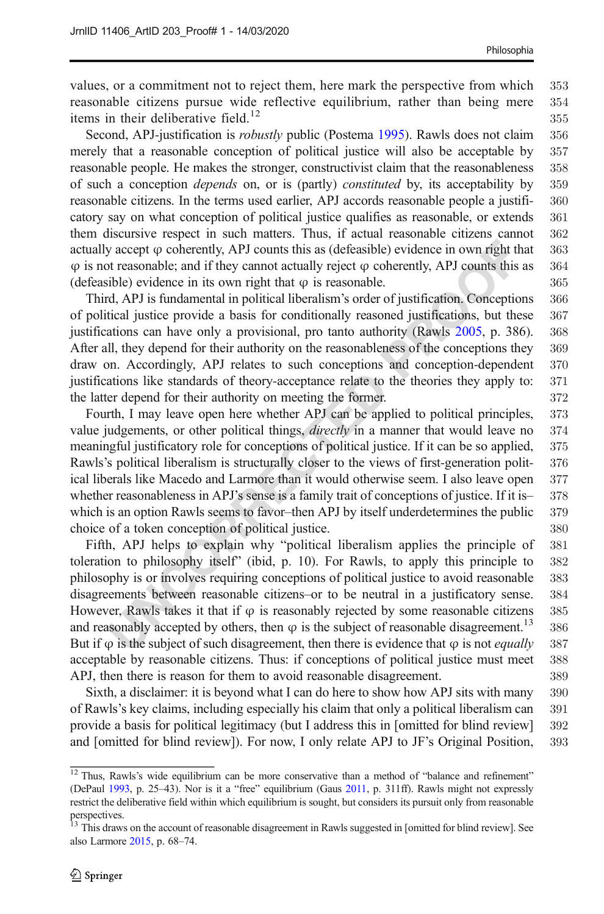values, or a commitment not to reject them, here mark the perspective from which 353 reasonable citizens pursue wide reflective equilibrium, rather than being mere 354 items in their deliberative field. $12$  and  $355$ 

Second, APJ-justification is *robustly* public (Postema 1995). Rawls does not claim 356 merely that a reasonable conception of political justice will also be acceptable by 357 reasonable people. He makes the stronger, constructivist claim that the reasonableness 358 of such a conception depends on, or is (partly) constituted by, its acceptability by 359 reasonable citizens. In the terms used earlier, APJ accords reasonable people a justifi- 360 catory say on what conception of political justice qualifies as reasonable, or extends 361 them discursive respect in such matters. Thus, if actual reasonable citizens cannot 362 actually accept  $\varphi$  coherently, APJ counts this as (defeasible) evidence in own right that  $363$  $\varphi$  is not reasonable; and if they cannot actually reject  $\varphi$  coherently, APJ counts this as 364 (defeasible) evidence in its own right that  $\varphi$  is reasonable. 365

Third, APJ is fundamental in political liberalism's order of justification. Conceptions 366 of political justice provide a basis for conditionally reasoned justifications, but these 367 justifications can have only a provisional, pro tanto authority (Rawls 2005, p. 386). 368 After all, they depend for their authority on the reasonableness of the conceptions they 369 draw on. Accordingly, APJ relates to such conceptions and conception-dependent 370 justifications like standards of theory-acceptance relate to the theories they apply to: 371 the latter depend for their authority on meeting the former.  $372$ 

y accept  $\varphi$  coherently, APJ counts this as (defeasible) evidence in own right th<br>treasonable; and if they cannot actually reject  $\varphi$  coherently, APJ counts this<br>ibile) evidence in its own right that  $\varphi$  is reasonab Fourth, I may leave open here whether APJ can be applied to political principles, 373 value judgements, or other political things, directly in a manner that would leave no 374 meaningful justificatory role for conceptions of political justice. If it can be so applied, 375 Rawls's political liberalism is structurally closer to the views of first-generation polit- 376 ical liberals like Macedo and Larmore than it would otherwise seem. I also leave open 377 whether reasonableness in APJ's sense is a family trait of conceptions of justice. If it is- 378 which is an option Rawls seems to favor–then APJ by itself underdetermines the public 379 choice of a token conception of political justice. 380

Fifth, APJ helps to explain why "political liberalism applies the principle of 381 toleration to philosophy itself" (ibid, p. 10). For Rawls, to apply this principle to 382 philosophy is or involves requiring conceptions of political justice to avoid reasonable 383 disagreements between reasonable citizens–or to be neutral in a justificatory sense. 384 However, Rawls takes it that if  $\varphi$  is reasonably rejected by some reasonable citizens 385 and reasonably accepted by others, then  $\varphi$  is the subject of reasonable disagreement.<sup>13</sup> 386 But if  $\varphi$  is the subject of such disagreement, then there is evidence that  $\varphi$  is not *equally* 387 acceptable by reasonable citizens. Thus: if conceptions of political justice must meet 388 APJ, then there is reason for them to avoid reasonable disagreement. 389

Sixth, a disclaimer: it is beyond what I can do here to show how APJ sits with many 390 of Rawls's key claims, including especially his claim that only a political liberalism can 391 provide a basis for political legitimacy (but I address this in [omitted for blind review] 392 and [omitted for blind review]). For now, I only relate APJ to JF's Original Position, 393

<sup>&</sup>lt;sup>12</sup> Thus, Rawls's wide equilibrium can be more conservative than a method of "balance and refinement" (DePaul 1993, p. 25–43). Nor is it a "free" equilibrium (Gaus 2011, p. 311ff). Rawls might not expressly restrict the deliberative field within which equilibrium is sought, but considers its pursuit only from reasonable perspectives.

<sup>&</sup>lt;sup>13</sup> This draws on the account of reasonable disagreement in Rawls suggested in [omitted for blind review]. See also Larmore 2015, p. 68–74.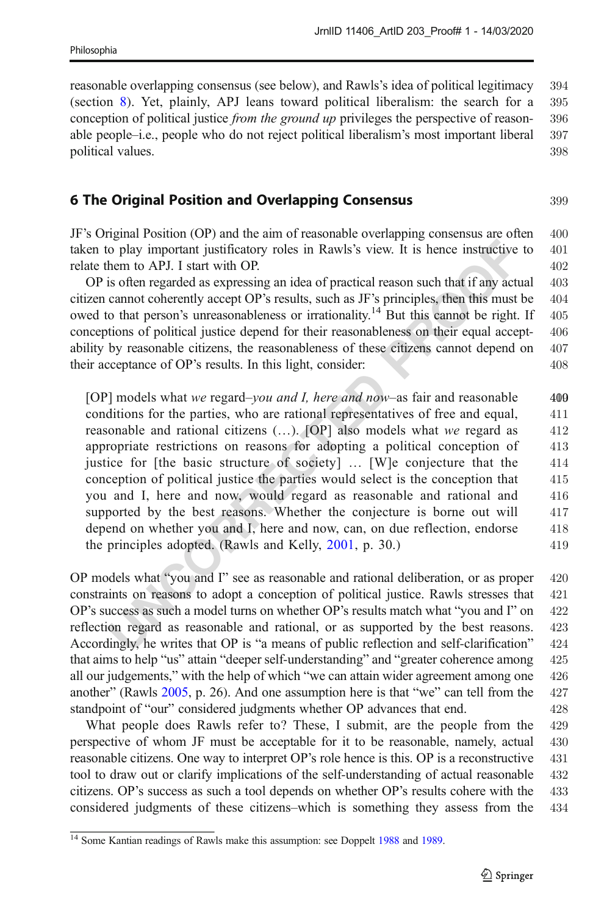reasonable overlapping consensus (see below), and Rawls's idea of political legitimacy 394 (section 8). Yet, plainly, APJ leans toward political liberalism: the search for a 395 conception of political justice from the ground up privileges the perspective of reason- 396 able people–i.e., people who do not reject political liberalism's most important liberal 397 political values. 398

### 6 The Original Position and Overlapping Consensus 399

JF's Original Position (OP) and the aim of reasonable overlapping consensus are often 400 taken to play important justificatory roles in Rawls's view. It is hence instructive to 401 relate them to APJ. I start with OP. 402

OP is often regarded as expressing an idea of practical reason such that if any actual 403 citizen cannot coherently accept OP's results, such as JF's principles, then this must be 404 owed to that person's unreasonableness or irrationality.<sup>14</sup> But this cannot be right. If  $405$ conceptions of political justice depend for their reasonableness on their equal accept- 406 ability by reasonable citizens, the reasonableness of these citizens cannot depend on 407 their acceptance of OP's results. In this light, consider: 408

o play important justificatory roles in Rawls's view. It is hence instructive<br>hem to APJ. I start with OP.<br>Is often regarded as expressing an idea of practical reason such that if any acts<br>of cannot coherently accept OP's [OP] models what we regard–you and I, here and now–as fair and reasonable  $400$ conditions for the parties, who are rational representatives of free and equal, 411 reasonable and rational citizens (…). [OP] also models what we regard as 412 appropriate restrictions on reasons for adopting a political conception of 413 justice for [the basic structure of society] ... [W]e conjecture that the 414 conception of political justice the parties would select is the conception that 415 you and I, here and now, would regard as reasonable and rational and 416 supported by the best reasons. Whether the conjecture is borne out will 417 depend on whether you and I, here and now, can, on due reflection, endorse 418 the principles adopted. (Rawls and Kelly, 2001, p. 30.) 419

OP models what "you and I" see as reasonable and rational deliberation, or as proper 420 constraints on reasons to adopt a conception of political justice. Rawls stresses that 421 OP's success as such a model turns on whether OP's results match what "you and I" on 422 reflection regard as reasonable and rational, or as supported by the best reasons. 423 Accordingly, he writes that OP is "a means of public reflection and self-clarification" 424 that aims to help "us" attain "deeper self-understanding" and "greater coherence among 425 all our judgements," with the help of which "we can attain wider agreement among one 426 another" (Rawls 2005, p. 26). And one assumption here is that "we" can tell from the 427 standpoint of "our" considered judgments whether OP advances that end. 428

What people does Rawls refer to? These, I submit, are the people from the 429 perspective of whom JF must be acceptable for it to be reasonable, namely, actual 430 reasonable citizens. One way to interpret OP's role hence is this. OP is a reconstructive 431 tool to draw out or clarify implications of the self-understanding of actual reasonable 432 citizens. OP's success as such a tool depends on whether OP's results cohere with the 433 considered judgments of these citizens–which is something they assess from the 434

<sup>&</sup>lt;sup>14</sup> Some Kantian readings of Rawls make this assumption: see Doppelt 1988 and 1989.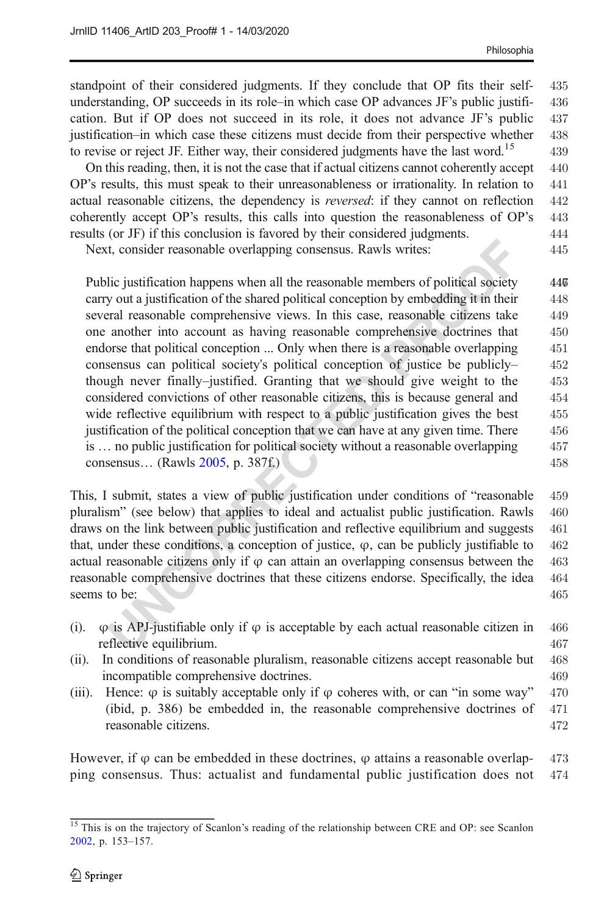standpoint of their considered judgments. If they conclude that OP fits their self- 435 understanding, OP succeeds in its role–in which case OP advances JF's public justifi- 436 cation. But if OP does not succeed in its role, it does not advance JF's public 437 justification–in which case these citizens must decide from their perspective whether 438 to revise or reject JF. Either way, their considered judgments have the last word.<sup>15</sup> 439

On this reading, then, it is not the case that if actual citizens cannot coherently accept 440 OP's results, this must speak to their unreasonableness or irrationality. In relation to 441 actual reasonable citizens, the dependency is reversed: if they cannot on reflection 442 coherently accept OP's results, this calls into question the reasonableness of OP's 443 results (or JF) if this conclusion is favored by their considered judgments. 444

Next, consider reasonable overlapping consensus. Rawls writes: 445

t, consider reasonable overlapping consensus. Rawls writes:<br>
lic justification happens when all the reasonable members of political society<br>
y out a justification of the shared political conception by embedding it in thei Public justification happens when all the reasonable members of political society 44% carry out a justification of the shared political conception by embedding it in their 448 several reasonable comprehensive views. In this case, reasonable citizens take 449 one another into account as having reasonable comprehensive doctrines that 450 endorse that political conception ... Only when there is a reasonable overlapping 451 consensus can political society's political conception of justice be publicly– 452 though never finally–justified. Granting that we should give weight to the 453 considered convictions of other reasonable citizens, this is because general and 454 wide reflective equilibrium with respect to a public justification gives the best 455 justification of the political conception that we can have at any given time. There 456 is … no public justification for political society without a reasonable overlapping 457 consensus… (Rawls 2005, p. 387f.) 458

This, I submit, states a view of public justification under conditions of "reasonable 459 pluralism" (see below) that applies to ideal and actualist public justification. Rawls 460 draws on the link between public justification and reflective equilibrium and suggests 461 that, under these conditions, a conception of justice,  $\varphi$ , can be publicly justifiable to 462 actual reasonable citizens only if  $\varphi$  can attain an overlapping consensus between the 463 reasonable comprehensive doctrines that these citizens endorse. Specifically, the idea 464 seems to be: 465

- (i).  $\varphi$  is APJ-justifiable only if  $\varphi$  is acceptable by each actual reasonable citizen in 466 reflective equilibrium. 467
- (ii). In conditions of reasonable pluralism, reasonable citizens accept reasonable but 468 incompatible comprehensive doctrines. 469
- (iii). Hence:  $\varphi$  is suitably acceptable only if  $\varphi$  coheres with, or can "in some way" 470 (ibid, p. 386) be embedded in, the reasonable comprehensive doctrines of 471 reasonable citizens. 472

However, if  $\varphi$  can be embedded in these doctrines,  $\varphi$  attains a reasonable overlap- 473 ping consensus. Thus: actualist and fundamental public justification does not 474

<sup>&</sup>lt;sup>15</sup> This is on the trajectory of Scanlon's reading of the relationship between CRE and OP: see Scanlon 2002, p. 153–157.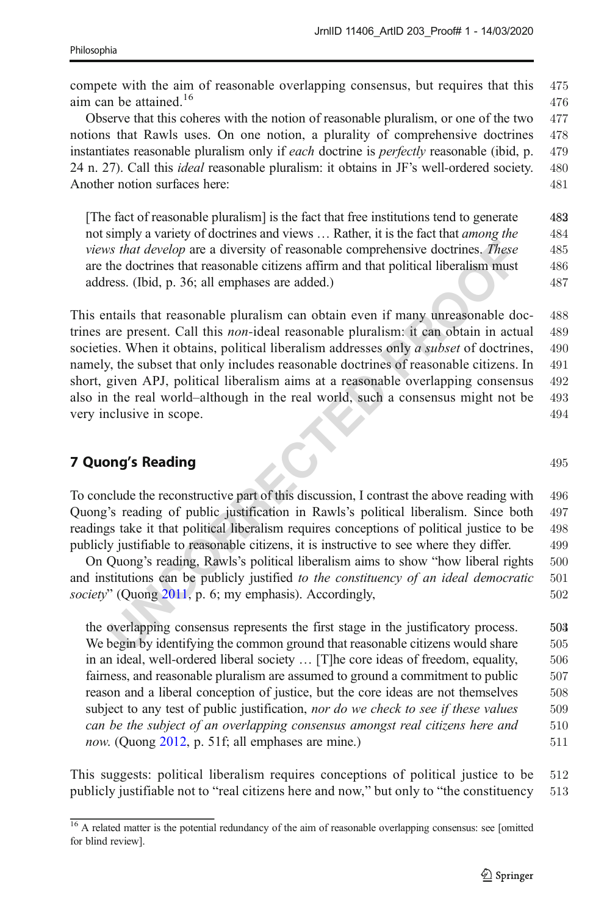compete with the aim of reasonable overlapping consensus, but requires that this 475 aim can be attained.<sup>16</sup> 16

Observe that this coheres with the notion of reasonable pluralism, or one of the two 477 notions that Rawls uses. On one notion, a plurality of comprehensive doctrines 478 instantiates reasonable pluralism only if *each* doctrine is *perfectly* reasonable (ibid, p. 479) 24 n. 27). Call this ideal reasonable pluralism: it obtains in JF's well-ordered society. 480 Another notion surfaces here: 481

[The fact of reasonable pluralism] is the fact that free institutions tend to generate 4823 not simply a variety of doctrines and views ... Rather, it is the fact that *among the* 484 views that develop are a diversity of reasonable comprehensive doctrines. These 485 are the doctrines that reasonable citizens affirm and that political liberalism must 486 address. (Ibid, p. 36; all emphases are added.) 487

*us that develop* are a diversity of reasonable comprehensive doctrines. *These*<br>the doctrines that reasonable citizens affirm and that political liberalism must<br>ress. (Ibid, p. 36; all emphases are added.)<br>that is that r This entails that reasonable pluralism can obtain even if many unreasonable doc- 488 trines are present. Call this non-ideal reasonable pluralism: it can obtain in actual 489 societies. When it obtains, political liberalism addresses only *a subset* of doctrines, 490 namely, the subset that only includes reasonable doctrines of reasonable citizens. In 491 short, given APJ, political liberalism aims at a reasonable overlapping consensus 492 also in the real world–although in the real world, such a consensus might not be 493 very inclusive in scope. 494

# 7 Quong's Reading 495

To conclude the reconstructive part of this discussion, I contrast the above reading with 496 Quong's reading of public justification in Rawls's political liberalism. Since both 497 readings take it that political liberalism requires conceptions of political justice to be 498 publicly justifiable to reasonable citizens, it is instructive to see where they differ. 499

On Quong's reading, Rawls's political liberalism aims to show "how liberal rights 500 and institutions can be publicly justified to the constituency of an ideal democratic 501 society" (Quong 2011, p. 6; my emphasis). Accordingly,  $502$ 

the overlapping consensus represents the first stage in the justificatory process. 5034 We begin by identifying the common ground that reasonable citizens would share  $505$ in an ideal, well-ordered liberal society … [T]he core ideas of freedom, equality, 506 fairness, and reasonable pluralism are assumed to ground a commitment to public 507 reason and a liberal conception of justice, but the core ideas are not themselves 508 subject to any test of public justification, nor do we check to see if these values 509 can be the subject of an overlapping consensus amongst real citizens here and 510 now. (Quong 2012, p. 51f; all emphases are mine.) 511

This suggests: political liberalism requires conceptions of political justice to be 512 publicly justifiable not to "real citizens here and now," but only to "the constituency 513

<sup>&</sup>lt;sup>16</sup> A related matter is the potential redundancy of the aim of reasonable overlapping consensus: see [omitted for blind review].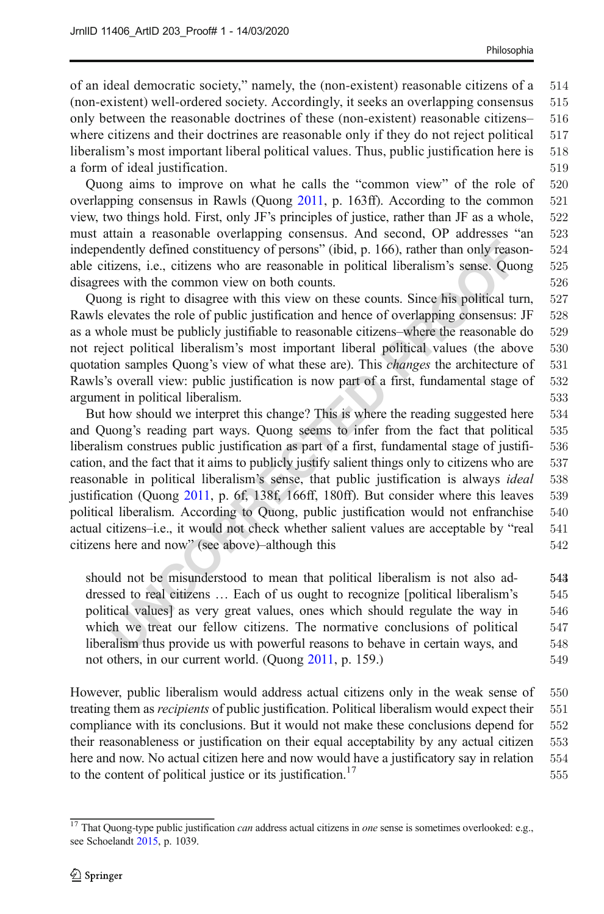of an ideal democratic society," namely, the (non-existent) reasonable citizens of a 514 (non-existent) well-ordered society. Accordingly, it seeks an overlapping consensus 515 only between the reasonable doctrines of these (non-existent) reasonable citizens– 516 where citizens and their doctrines are reasonable only if they do not reject political 517 liberalism's most important liberal political values. Thus, public justification here is 518 a form of ideal justification. 519

Quong aims to improve on what he calls the "common view" of the role of 520 overlapping consensus in Rawls (Quong 2011, p. 163ff). According to the common 521 view, two things hold. First, only JF's principles of justice, rather than JF as a whole, 522 must attain a reasonable overlapping consensus. And second, OP addresses "an 523 independently defined constituency of persons" (ibid, p. 166), rather than only reason- 524 able citizens, i.e., citizens who are reasonable in political liberalism's sense. Quong 525 disagrees with the common view on both counts. 526

Quong is right to disagree with this view on these counts. Since his political turn, 527 Rawls elevates the role of public justification and hence of overlapping consensus: JF 528 as a whole must be publicly justifiable to reasonable citizens–where the reasonable do 529 not reject political liberalism's most important liberal political values (the above 530 quotation samples Quong's view of what these are). This changes the architecture of 531 Rawls's overall view: public justification is now part of a first, fundamental stage of 532 argument in political liberalism. 533

mdently defined constituency of persons" (ibid, p. 166), rather than only reasc<br>tizens, i.e., citizens who are reasonable in political liberalism's sense. Quo<br>ess with the common view on both counts.<br>Some say the measurem But how should we interpret this change? This is where the reading suggested here 534 and Quong's reading part ways. Quong seems to infer from the fact that political 535 liberalism construes public justification as part of a first, fundamental stage of justifi- 536 cation, and the fact that it aims to publicly justify salient things only to citizens who are 537 reasonable in political liberalism's sense, that public justification is always ideal 538 justification (Quong 2011, p. 6f, 138f, 166ff, 180ff). But consider where this leaves 539 political liberalism. According to Quong, public justification would not enfranchise 540 actual citizens–i.e., it would not check whether salient values are acceptable by "real 541 citizens here and now" (see above)–although this 542

should not be misunderstood to mean that political liberalism is not also ad-<br>543 dressed to real citizens ... Each of us ought to recognize [political liberalism's 545 political values] as very great values, ones which should regulate the way in 546 which we treat our fellow citizens. The normative conclusions of political 547 liberalism thus provide us with powerful reasons to behave in certain ways, and 548 not others, in our current world. (Quong 2011, p. 159.)  $549$ 

However, public liberalism would address actual citizens only in the weak sense of 550 treating them as *recipients* of public justification. Political liberalism would expect their 551 compliance with its conclusions. But it would not make these conclusions depend for 552 their reasonableness or justification on their equal acceptability by any actual citizen 553 here and now. No actual citizen here and now would have a justificatory say in relation 554 to the content of political justice or its justification.<sup>17</sup>  $555$ 

<sup>&</sup>lt;sup>17</sup> That Quong-type public justification *can* address actual citizens in *one* sense is sometimes overlooked: e.g., see Schoelandt 2015, p. 1039.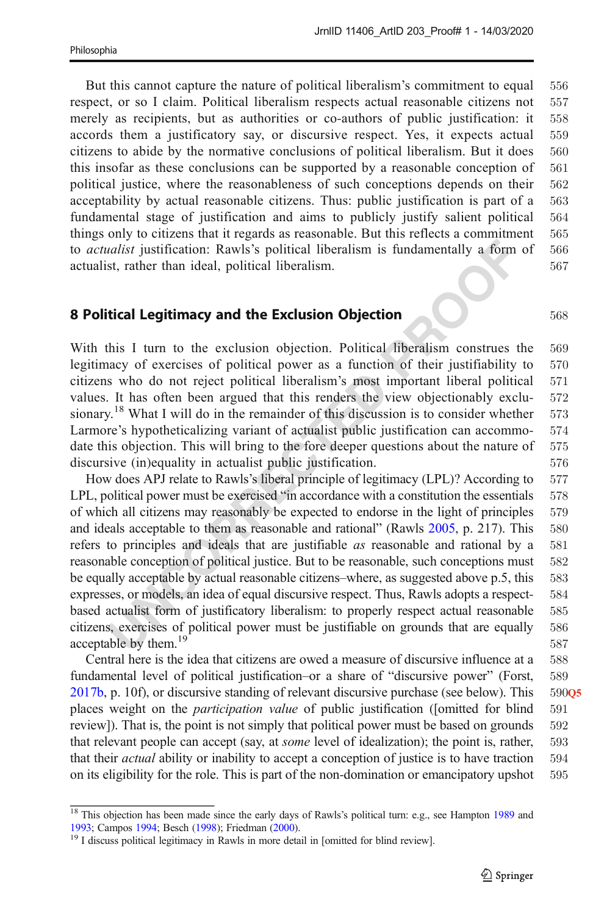But this cannot capture the nature of political liberalism's commitment to equal 556 respect, or so I claim. Political liberalism respects actual reasonable citizens not 557 merely as recipients, but as authorities or co-authors of public justification: it 558 accords them a justificatory say, or discursive respect. Yes, it expects actual 559 citizens to abide by the normative conclusions of political liberalism. But it does 560 this insofar as these conclusions can be supported by a reasonable conception of 561 political justice, where the reasonableness of such conceptions depends on their 562 acceptability by actual reasonable citizens. Thus: public justification is part of a 563 fundamental stage of justification and aims to publicly justify salient political 564 things only to citizens that it regards as reasonable. But this reflects a commitment 565 to actualist justification: Rawls's political liberalism is fundamentally a form of 566 actualist, rather than ideal, political liberalism. 567

### 8 Political Legitimacy and the Exclusion Objection **668 1998 1998 1998 1998 1999 1999 1999 1999 1999 1999 1999 1999 1999 1999 1999 1999 1999 1999 1999 1999 1999 1999 1999 199**

With this I turn to the exclusion objection. Political liberalism construes the 569 legitimacy of exercises of political power as a function of their justifiability to 570 citizens who do not reject political liberalism's most important liberal political 571 values. It has often been argued that this renders the view objectionably exclu- 572 sionary.<sup>18</sup> What I will do in the remainder of this discussion is to consider whether  $573$ Larmore's hypotheticalizing variant of actualist public justification can accommo- 574 date this objection. This will bring to the fore deeper questions about the nature of 575 discursive (in)equality in actualist public justification.  $576$ 

adist justification: Rawls's political liberalism is fundamentally a form<br>st, rather than ideal, political liberalism.<br>**tical Legitimacy and the Exclusion Objection**<br>this I turn to the exclusion objection. Political libera How does APJ relate to Rawls's liberal principle of legitimacy (LPL)? According to 577 LPL, political power must be exercised "in accordance with a constitution the essentials 578 of which all citizens may reasonably be expected to endorse in the light of principles 579 and ideals acceptable to them as reasonable and rational" (Rawls 2005, p. 217). This 580 refers to principles and ideals that are justifiable as reasonable and rational by a 581 reasonable conception of political justice. But to be reasonable, such conceptions must 582 be equally acceptable by actual reasonable citizens–where, as suggested above p.5, this 583 expresses, or models, an idea of equal discursive respect. Thus, Rawls adopts a respect- 584 based actualist form of justificatory liberalism: to properly respect actual reasonable 585 citizens, exercises of political power must be justifiable on grounds that are equally 586  $\alpha$  acceptable by them.<sup>19</sup>  $\qquad\qquad\qquad$  587

Central here is the idea that citizens are owed a measure of discursive influence at a 588 fundamental level of political justification–or a share of "discursive power" (Forst, 589 2017b, p. 10f), or discursive standing of relevant discursive purchase (see below). This 590Q5 places weight on the participation value of public justification ([omitted for blind 591 review]). That is, the point is not simply that political power must be based on grounds 592 that relevant people can accept (say, at *some* level of idealization); the point is, rather, 593 that their *actual* ability or inability to accept a conception of justice is to have traction 594 on its eligibility for the role. This is part of the non-domination or emancipatory upshot 595

 $\mathcal{D}$  Springer

 $\frac{18}{18}$  This objection has been made since the early days of Rawls's political turn: e.g., see Hampton 1989 and 1993; Campos 1994; Besch (1998); Friedman (2000). <sup>19</sup> I discuss political legitimacy in Rawls in more detail in [omitted for blind review].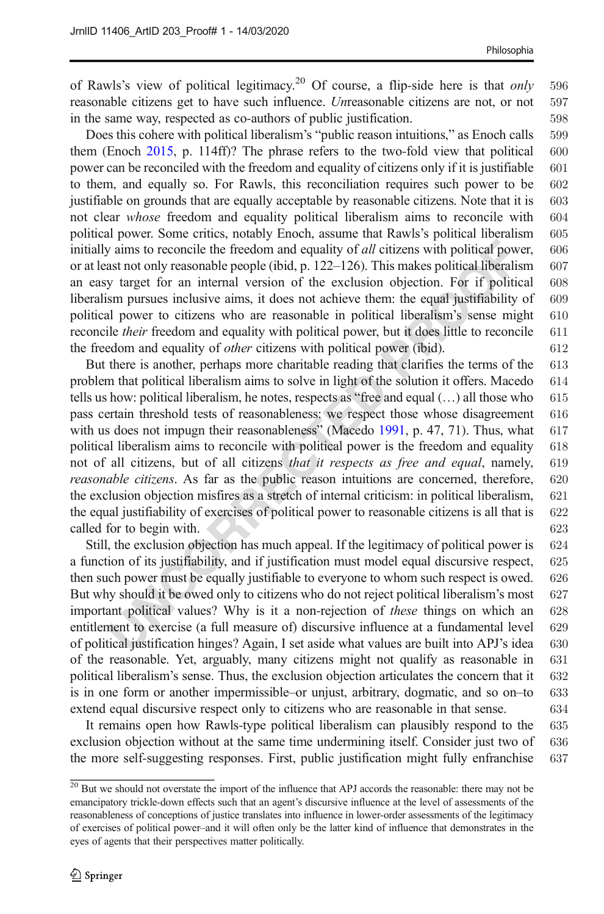of Rawls's view of political legitimacy.<sup>20</sup> Of course, a flip-side here is that only 596 reasonable citizens get to have such influence. Unreasonable citizens are not, or not 597 in the same way, respected as co-authors of public justification.  $598$ 

Does this cohere with political liberalism's "public reason intuitions," as Enoch calls 599 them (Enoch 2015, p. 114ff)? The phrase refers to the two-fold view that political 600 power can be reconciled with the freedom and equality of citizens only if it is justifiable 601 to them, and equally so. For Rawls, this reconciliation requires such power to be 602 justifiable on grounds that are equally acceptable by reasonable citizens. Note that it is 603 not clear whose freedom and equality political liberalism aims to reconcile with 604 political power. Some critics, notably Enoch, assume that Rawls's political liberalism 605 initially aims to reconcile the freedom and equality of *all* citizens with political power, 606 or at least not only reasonable people (ibid, p.  $122-126$ ). This makes political liberalism 607 an easy target for an internal version of the exclusion objection. For if political 608 liberalism pursues inclusive aims, it does not achieve them: the equal justifiability of 609 political power to citizens who are reasonable in political liberalism's sense might 610 reconcile *their* freedom and equality with political power, but it does little to reconcile 611 the freedom and equality of *other* citizens with political power (ibid). 612

*y* aims to reconcile the freedom and equality of *all* citizens with political pow<br>at not only reasonable people (ibid, p. 122–126). This makes political liberalis<br>y traget for an internal version of the exclusion object But there is another, perhaps more charitable reading that clarifies the terms of the 613 problem that political liberalism aims to solve in light of the solution it offers. Macedo 614 tells us how: political liberalism, he notes, respects as "free and equal  $(...)$  all those who 615 pass certain threshold tests of reasonableness: we respect those whose disagreement 616 with us does not impugn their reasonableness" (Macedo 1991, p. 47, 71). Thus, what 617 political liberalism aims to reconcile with political power is the freedom and equality 618 not of all citizens, but of all citizens *that it respects as free and equal*, namely, 619 reasonable citizens. As far as the public reason intuitions are concerned, therefore, 620 the exclusion objection misfires as a stretch of internal criticism: in political liberalism, 621 the equal justifiability of exercises of political power to reasonable citizens is all that is 622 called for to begin with. 623

Still, the exclusion objection has much appeal. If the legitimacy of political power is 624 a function of its justifiability, and if justification must model equal discursive respect, 625 then such power must be equally justifiable to everyone to whom such respect is owed. 626 But why should it be owed only to citizens who do not reject political liberalism's most 627 important political values? Why is it a non-rejection of these things on which an 628 entitlement to exercise (a full measure of) discursive influence at a fundamental level 629 of political justification hinges? Again, I set aside what values are built into APJ's idea 630 of the reasonable. Yet, arguably, many citizens might not qualify as reasonable in 631 political liberalism's sense. Thus, the exclusion objection articulates the concern that it 632 is in one form or another impermissible–or unjust, arbitrary, dogmatic, and so on–to 633 extend equal discursive respect only to citizens who are reasonable in that sense.  $634$ 

It remains open how Rawls-type political liberalism can plausibly respond to the 635 exclusion objection without at the same time undermining itself. Consider just two of 636 the more self-suggesting responses. First, public justification might fully enfranchise 637

 $20$  But we should not overstate the import of the influence that APJ accords the reasonable: there may not be emancipatory trickle-down effects such that an agent's discursive influence at the level of assessments of the reasonableness of conceptions of justice translates into influence in lower-order assessments of the legitimacy of exercises of political power–and it will often only be the latter kind of influence that demonstrates in the eyes of agents that their perspectives matter politically.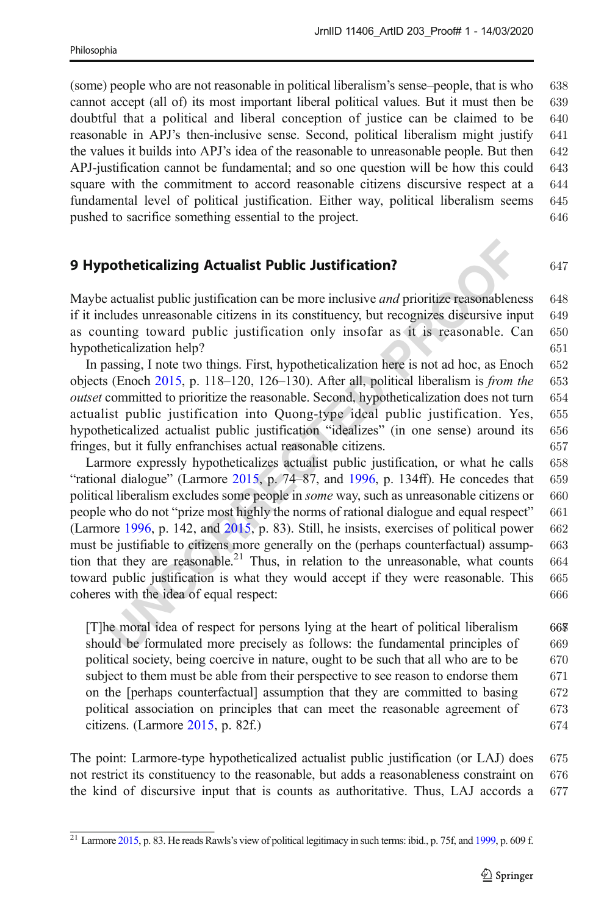(some) people who are not reasonable in political liberalism's sense–people, that is who 638 cannot accept (all of) its most important liberal political values. But it must then be 639 doubtful that a political and liberal conception of justice can be claimed to be 640 reasonable in APJ's then-inclusive sense. Second, political liberalism might justify 641 the values it builds into APJ's idea of the reasonable to unreasonable people. But then 642 APJ-justification cannot be fundamental; and so one question will be how this could 643 square with the commitment to accord reasonable citizens discursive respect at a 644 fundamental level of political justification. Either way, political liberalism seems 645 pushed to sacrifice something essential to the project. 646

# 9 Hypotheticalizing Actualist Public Justification? 647

Maybe actualist public justification can be more inclusive *and* prioritize reasonableness 648 if it includes unreasonable citizens in its constituency, but recognizes discursive input 649 as counting toward public justification only insofar as it is reasonable. Can 650 hypotheticalization help? 651

In passing, I note two things. First, hypotheticalization here is not ad hoc, as Enoch 652 objects (Enoch 2015, p. 118–120, 126–130). After all, political liberalism is from the 653 outset committed to prioritize the reasonable. Second, hypotheticalization does not turn 654 actualist public justification into Quong-type ideal public justification. Yes, 655 hypotheticalized actualist public justification "idealizes" (in one sense) around its 656 fringes, but it fully enfranchises actual reasonable citizens. 657

**notheticalizing Actualist Public Justification?**<br>actualist public justification can be more inclusive *and* prioritize reasonablencludes unreasonable citizens in its constituency, but recognizes discursive inputing toward Larmore expressly hypotheticalizes actualist public justification, or what he calls 658 "rational dialogue" (Larmore 2015, p. 74–87, and 1996, p. 134ff). He concedes that  $659$ political liberalism excludes some people in some way, such as unreasonable citizens or 660 people who do not "prize most highly the norms of rational dialogue and equal respect" 661 (Larmore 1996, p. 142, and 2015, p. 83). Still, he insists, exercises of political power 662 must be justifiable to citizens more generally on the (perhaps counterfactual) assump- 663 tion that they are reasonable.<sup>21</sup> Thus, in relation to the unreasonable, what counts  $664$ toward public justification is what they would accept if they were reasonable. This 665 coheres with the idea of equal respect: 666

[T]he moral idea of respect for persons lying at the heart of political liberalism 6678 should be formulated more precisely as follows: the fundamental principles of 669 political society, being coercive in nature, ought to be such that all who are to be 670 subject to them must be able from their perspective to see reason to endorse them 671 on the [perhaps counterfactual] assumption that they are committed to basing 672 political association on principles that can meet the reasonable agreement of 673 citizens. (Larmore 2015, p. 82f.) 674

The point: Larmore-type hypotheticalized actualist public justification (or LAJ) does 675 not restrict its constituency to the reasonable, but adds a reasonableness constraint on 676 the kind of discursive input that is counts as authoritative. Thus, LAJ accords a 677

 $21$  Larmore 2015, p. 83. He reads Rawls's view of political legitimacy in such terms: ibid., p. 75f, and 1999, p. 609 f.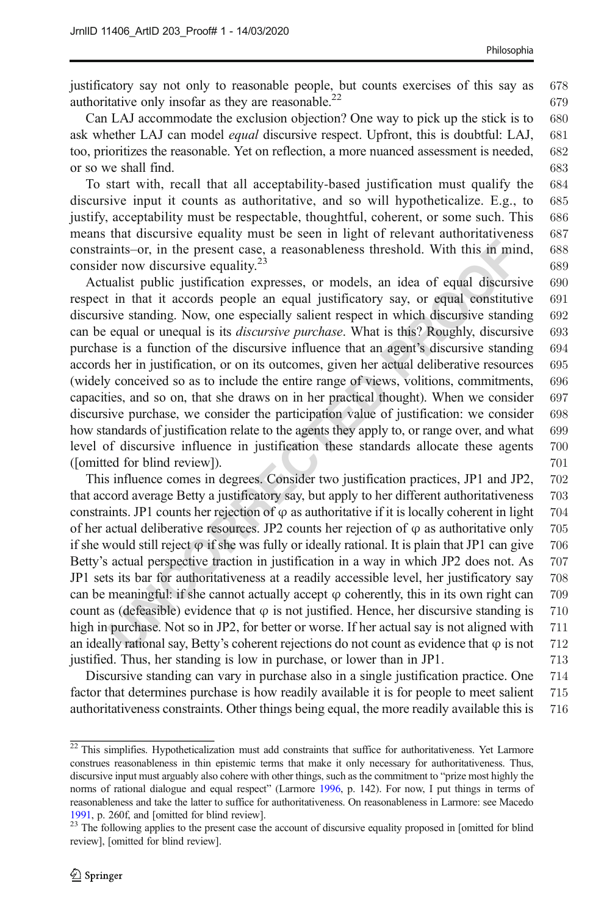justificatory say not only to reasonable people, but counts exercises of this say as 678 authoritative only insofar as they are reasonable. $^{22}$  679

Can LAJ accommodate the exclusion objection? One way to pick up the stick is to 680 ask whether LAJ can model equal discursive respect. Upfront, this is doubtful: LAJ, 681 too, prioritizes the reasonable. Yet on reflection, a more nuanced assessment is needed, 682 or so we shall find. 683

To start with, recall that all acceptability-based justification must qualify the 684 discursive input it counts as authoritative, and so will hypotheticalize. E.g., to 685 justify, acceptability must be respectable, thoughtful, coherent, or some such. This 686 means that discursive equality must be seen in light of relevant authoritativeness 687 constraints–or, in the present case, a reasonableness threshold. With this in mind, 688 consider now discursive equality.<sup> $23$ </sup>  $689$ 

nints-or, in the present case, a reasonableness threshold. With this in mint en now discursive equality.<sup>23</sup><br>unlate public justification expresses, or models, an idea of equal discursi<br>unlate public justification expresse Actualist public justification expresses, or models, an idea of equal discursive 690 respect in that it accords people an equal justificatory say, or equal constitutive 691 discursive standing. Now, one especially salient respect in which discursive standing 692 can be equal or unequal is its discursive purchase. What is this? Roughly, discursive 693 purchase is a function of the discursive influence that an agent's discursive standing 694 accords her in justification, or on its outcomes, given her actual deliberative resources 695 (widely conceived so as to include the entire range of views, volitions, commitments, 696 capacities, and so on, that she draws on in her practical thought). When we consider 697 discursive purchase, we consider the participation value of justification: we consider 698 how standards of justification relate to the agents they apply to, or range over, and what 699 level of discursive influence in justification these standards allocate these agents 700 ([omitted for blind review]). 701

This influence comes in degrees. Consider two justification practices, JP1 and JP2, 702 that accord average Betty a justificatory say, but apply to her different authoritativeness 703 constraints. JP1 counts her rejection of  $\varphi$  as authoritative if it is locally coherent in light 704 of her actual deliberative resources. JP2 counts her rejection of  $\varphi$  as authoritative only 705 if she would still reject  $\varphi$  if she was fully or ideally rational. It is plain that JP1 can give 706 Betty's actual perspective traction in justification in a way in which JP2 does not. As 707 JP1 sets its bar for authoritativeness at a readily accessible level, her justificatory say 708 can be meaningful: if she cannot actually accept  $\varphi$  coherently, this in its own right can  $709$ count as (defeasible) evidence that  $\varphi$  is not justified. Hence, her discursive standing is 710 high in purchase. Not so in JP2, for better or worse. If her actual say is not aligned with 711 an ideally rational say, Betty's coherent rejections do not count as evidence that  $\varphi$  is not 712 justified. Thus, her standing is low in purchase, or lower than in JP1. 713

Discursive standing can vary in purchase also in a single justification practice. One 714 factor that determines purchase is how readily available it is for people to meet salient 715 authoritativeness constraints. Other things being equal, the more readily available this is 716

 $22$  This simplifies. Hypotheticalization must add constraints that suffice for authoritativeness. Yet Larmore construes reasonableness in thin epistemic terms that make it only necessary for authoritativeness. Thus, discursive input must arguably also cohere with other things, such as the commitment to "prize most highly the norms of rational dialogue and equal respect" (Larmore 1996, p. 142). For now, I put things in terms of reasonableness and take the latter to suffice for authoritativeness. On reasonableness in Larmore: see Macedo 1991, p. 260f, and [omitted for blind review].<br><sup>23</sup> The following applies to the present case the account of discursive equality proposed in [omitted for blind

review], [omitted for blind review].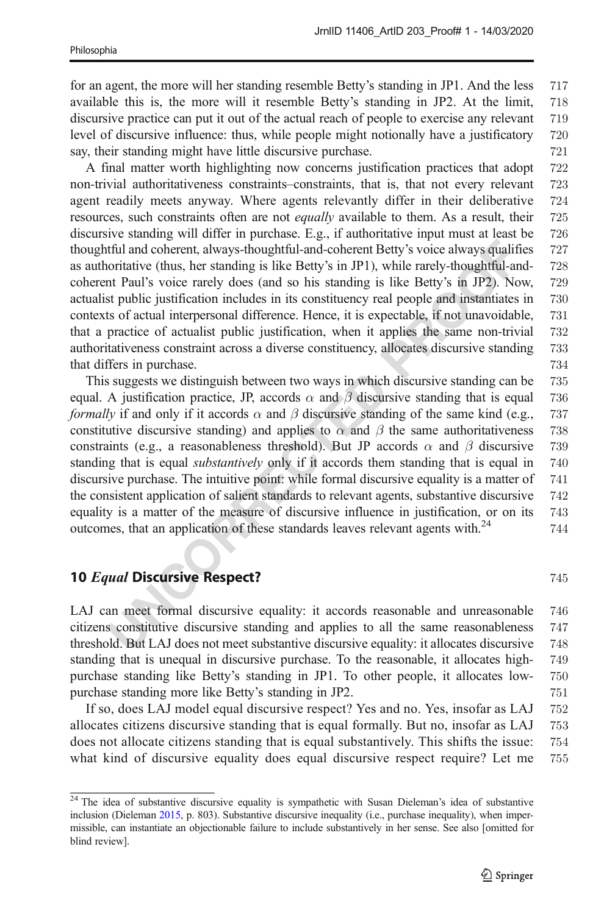for an agent, the more will her standing resemble Betty's standing in JP1. And the less 717 available this is, the more will it resemble Betty's standing in JP2. At the limit, 718 discursive practice can put it out of the actual reach of people to exercise any relevant 719 level of discursive influence: thus, while people might notionally have a justificatory 720 say, their standing might have little discursive purchase.  $721$ 

A final matter worth highlighting now concerns justification practices that adopt 722 non-trivial authoritativeness constraints–constraints, that is, that not every relevant 723 agent readily meets anyway. Where agents relevantly differ in their deliberative 724 resources, such constraints often are not equally available to them. As a result, their 725 discursive standing will differ in purchase. E.g., if authoritative input must at least be 726 thoughtful and coherent, always-thoughtful-and-coherent Betty's voice always qualifies 727 as authoritative (thus, her standing is like Betty's in JP1), while rarely-thoughtful-and- 728 coherent Paul's voice rarely does (and so his standing is like Betty's in JP2). Now, 729 actualist public justification includes in its constituency real people and instantiates in 730 contexts of actual interpersonal difference. Hence, it is expectable, if not unavoidable, 731 that a practice of actualist public justification, when it applies the same non-trivial 732 authoritativeness constraint across a diverse constituency, allocates discursive standing 733 that differs in purchase. 734

tful and coherent, always-thoughtful-and-coherent Betty's voice always qualification<br>oritative (thus, her standing is like Betty's in JP1), while rarely-thoughtful-and<br>Head at public justification includes in its constitu This suggests we distinguish between two ways in which discursive standing can be 735 equal. A justification practice, JP, accords  $\alpha$  and  $\beta$  discursive standing that is equal 736 formally if and only if it accords  $\alpha$  and  $\beta$  discursive standing of the same kind (e.g., 737 constitutive discursive standing) and applies to  $\alpha$  and  $\beta$  the same authoritativeness 738 constraints (e.g., a reasonableness threshold). But JP accords  $\alpha$  and  $\beta$  discursive 739 standing that is equal substantively only if it accords them standing that is equal in 740 discursive purchase. The intuitive point: while formal discursive equality is a matter of 741 the consistent application of salient standards to relevant agents, substantive discursive 742 equality is a matter of the measure of discursive influence in justification, or on its 743 outcomes, that an application of these standards leaves relevant agents with. $^{24}$   $\qquad \qquad$  744

#### **10 Equal Discursive Respect? 745**

LAJ can meet formal discursive equality: it accords reasonable and unreasonable 746 citizens constitutive discursive standing and applies to all the same reasonableness 747 threshold. But LAJ does not meet substantive discursive equality: it allocates discursive 748 standing that is unequal in discursive purchase. To the reasonable, it allocates high- 749 purchase standing like Betty's standing in JP1. To other people, it allocates low- 750 purchase standing more like Betty's standing in JP2. 751

If so, does LAJ model equal discursive respect? Yes and no. Yes, insofar as LAJ 752 allocates citizens discursive standing that is equal formally. But no, insofar as LAJ 753 does not allocate citizens standing that is equal substantively. This shifts the issue: 754 what kind of discursive equality does equal discursive respect require? Let me 755

<sup>&</sup>lt;sup>24</sup> The idea of substantive discursive equality is sympathetic with Susan Dieleman's idea of substantive inclusion (Dieleman 2015, p. 803). Substantive discursive inequality (i.e., purchase inequality), when impermissible, can instantiate an objectionable failure to include substantively in her sense. See also [omitted for blind review].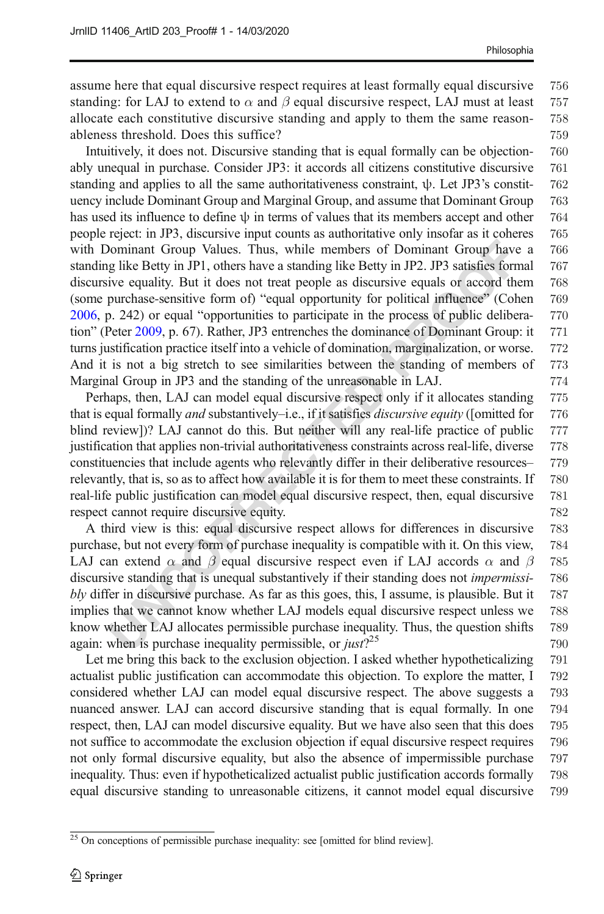assume here that equal discursive respect requires at least formally equal discursive 756 standing: for LAJ to extend to  $\alpha$  and  $\beta$  equal discursive respect, LAJ must at least 757 allocate each constitutive discursive standing and apply to them the same reason- 758 ableness threshold. Does this suffice? 759

Jominant Group Values. Thus, while members of Dominant Group have<br>oninant Group Values. Thus, while members of Dominant Group have<br>give Beltiv in JP1, others nave a standing like Betty in JP2. JP3 satisfies for<br>purchase-s Intuitively, it does not. Discursive standing that is equal formally can be objection- 760 ably unequal in purchase. Consider JP3: it accords all citizens constitutive discursive 761 standing and applies to all the same authoritativeness constraint, ψ. Let JP3's constit- 762 uency include Dominant Group and Marginal Group, and assume that Dominant Group 763 has used its influence to define  $\psi$  in terms of values that its members accept and other 764 people reject: in JP3, discursive input counts as authoritative only insofar as it coheres 765 with Dominant Group Values. Thus, while members of Dominant Group have a 766 standing like Betty in JP1, others have a standing like Betty in JP2. JP3 satisfies formal 767 discursive equality. But it does not treat people as discursive equals or accord them 768 (some purchase-sensitive form of) "equal opportunity for political influence" (Cohen 769 2006, p. 242) or equal "opportunities to participate in the process of public delibera- 770 tion" (Peter 2009, p. 67). Rather, JP3 entrenches the dominance of Dominant Group: it 771 turns justification practice itself into a vehicle of domination, marginalization, or worse. 772 And it is not a big stretch to see similarities between the standing of members of 773 Marginal Group in JP3 and the standing of the unreasonable in LAJ.  $774$ 

Perhaps, then, LAJ can model equal discursive respect only if it allocates standing 775 that is equal formally *and* substantively–i.e., if it satisfies *discursive equity* ([omitted for 776 blind review])? LAJ cannot do this. But neither will any real-life practice of public 777 justification that applies non-trivial authoritativeness constraints across real-life, diverse 778 constituencies that include agents who relevantly differ in their deliberative resources– 779 relevantly, that is, so as to affect how available it is for them to meet these constraints. If 780 real-life public justification can model equal discursive respect, then, equal discursive 781 respect cannot require discursive equity. The matrix of  $\frac{782}{200}$ 

A third view is this: equal discursive respect allows for differences in discursive 783 purchase, but not every form of purchase inequality is compatible with it. On this view, 784 LAJ can extend  $\alpha$  and  $\beta$  equal discursive respect even if LAJ accords  $\alpha$  and  $\beta$  785 discursive standing that is unequal substantively if their standing does not *impermissi-* 786  $blv$  differ in discursive purchase. As far as this goes, this, I assume, is plausible. But it 787 implies that we cannot know whether LAJ models equal discursive respect unless we 788 know whether LAJ allocates permissible purchase inequality. Thus, the question shifts 789 again: when is purchase inequality permissible, or  $\mu st$ ?<sup>25</sup> 25

Let me bring this back to the exclusion objection. I asked whether hypotheticalizing 791 actualist public justification can accommodate this objection. To explore the matter, I 792 considered whether LAJ can model equal discursive respect. The above suggests a 793 nuanced answer. LAJ can accord discursive standing that is equal formally. In one 794 respect, then, LAJ can model discursive equality. But we have also seen that this does 795 not suffice to accommodate the exclusion objection if equal discursive respect requires 796 not only formal discursive equality, but also the absence of impermissible purchase 797 inequality. Thus: even if hypotheticalized actualist public justification accords formally 798 equal discursive standing to unreasonable citizens, it cannot model equal discursive 799

<sup>&</sup>lt;sup>25</sup> On conceptions of permissible purchase inequality: see [omitted for blind review].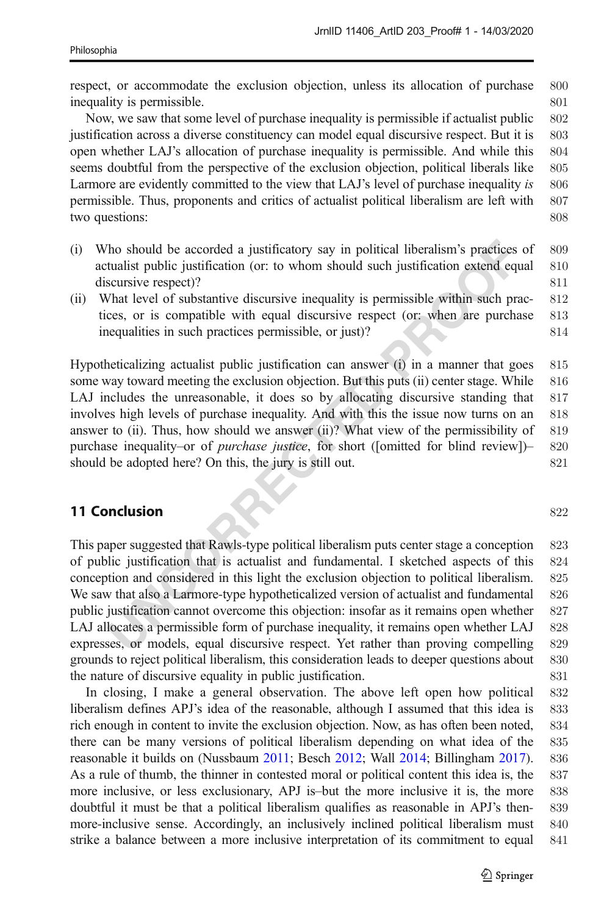respect, or accommodate the exclusion objection, unless its allocation of purchase 800 inequality is permissible. 801

Now, we saw that some level of purchase inequality is permissible if actualist public 802 justification across a diverse constituency can model equal discursive respect. But it is 803 open whether LAJ's allocation of purchase inequality is permissible. And while this 804 seems doubtful from the perspective of the exclusion objection, political liberals like 805 Larmore are evidently committed to the view that LAJ's level of purchase inequality is 806 permissible. Thus, proponents and critics of actualist political liberalism are left with 807 two questions: 808

- (i) Who should be accorded a justificatory say in political liberalism's practices of 809 actualist public justification (or: to whom should such justification extend equal 810 discursive respect)? 811
- (ii) What level of substantive discursive inequality is permissible within such prac- 812 tices, or is compatible with equal discursive respect (or: when are purchase 813 inequalities in such practices permissible, or just)? 814

Hypotheticalizing actualist public justification can answer (i) in a manner that goes 815 some way toward meeting the exclusion objection. But this puts (ii) center stage. While 816 LAJ includes the unreasonable, it does so by allocating discursive standing that 817 involves high levels of purchase inequality. And with this the issue now turns on an 818 answer to (ii). Thus, how should we answer (ii)? What view of the permissibility of  $819$ purchase inequality–or of *purchase justice*, for short ([omitted for blind review])– 820 should be adopted here? On this, the jury is still out. 821

#### **11 Conclusion 822**

The should be accorded a justificatory say in political liberalism's practices<br>tualist public justification (or: to whom should such justification extend equ<br>scursive respect)?<br>That level of substantive discursive inequali This paper suggested that Rawls-type political liberalism puts center stage a conception 823 of public justification that is actualist and fundamental. I sketched aspects of this 824 conception and considered in this light the exclusion objection to political liberalism. 825 We saw that also a Larmore-type hypotheticalized version of actualist and fundamental 826 public justification cannot overcome this objection: insofar as it remains open whether 827 LAJ allocates a permissible form of purchase inequality, it remains open whether LAJ 828 expresses, or models, equal discursive respect. Yet rather than proving compelling 829 grounds to reject political liberalism, this consideration leads to deeper questions about 830 the nature of discursive equality in public justification. 831

In closing, I make a general observation. The above left open how political 832 liberalism defines APJ's idea of the reasonable, although I assumed that this idea is 833 rich enough in content to invite the exclusion objection. Now, as has often been noted, 834 there can be many versions of political liberalism depending on what idea of the 835 reasonable it builds on (Nussbaum 2011; Besch 2012; Wall 2014; Billingham 2017). 836 As a rule of thumb, the thinner in contested moral or political content this idea is, the 837 more inclusive, or less exclusionary, APJ is–but the more inclusive it is, the more 838 doubtful it must be that a political liberalism qualifies as reasonable in APJ's then- 839 more-inclusive sense. Accordingly, an inclusively inclined political liberalism must 840 strike a balance between a more inclusive interpretation of its commitment to equal 841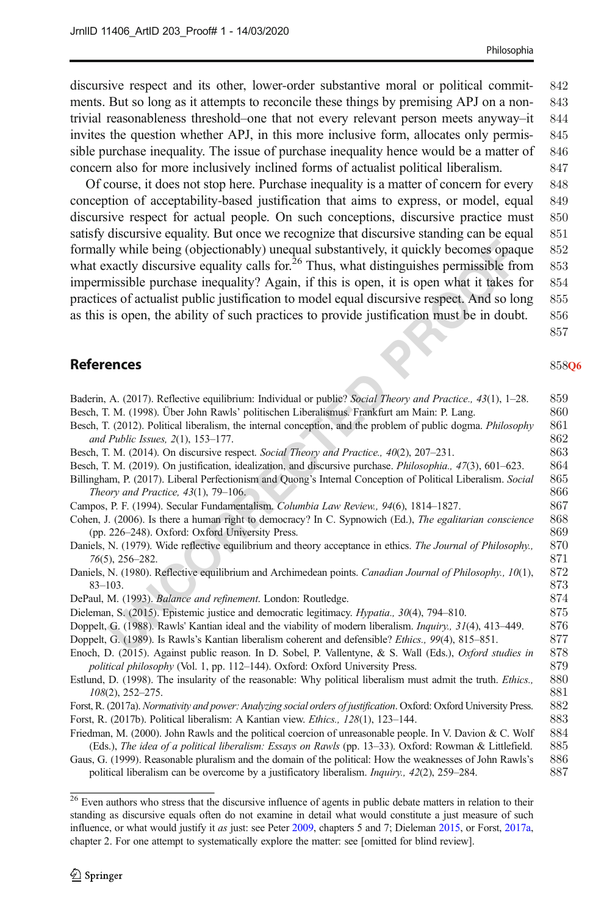discursive respect and its other, lower-order substantive moral or political commit- 842 ments. But so long as it attempts to reconcile these things by premising APJ on a non- 843 trivial reasonableness threshold–one that not every relevant person meets anyway–it 844 invites the question whether APJ, in this more inclusive form, allocates only permis- 845 sible purchase inequality. The issue of purchase inequality hence would be a matter of 846 concern also for more inclusively inclined forms of actualist political liberalism. 847

Of course, it does not stop here. Purchase inequality is a matter of concern for every 848 conception of acceptability-based justification that aims to express, or model, equal 849 discursive respect for actual people. On such conceptions, discursive practice must 850 satisfy discursive equality. But once we recognize that discursive standing can be equal 851 formally while being (objectionably) unequal substantively, it quickly becomes opaque 852 what exactly discursive equality calls for.  $26$  Thus, what distinguishes permissible from 853 impermissible purchase inequality? Again, if this is open, it is open what it takes for 854 practices of actualist public justification to model equal discursive respect. And so long 855 as this is open, the ability of such practices to provide justification must be in doubt. 856 857

| formally while being (objectionably) unequal substantively, it quickly becomes opaque<br>what exactly discursive equality calls for. <sup>26</sup> Thus, what distinguishes permissible from                       | 852<br>$853\,$ |
|--------------------------------------------------------------------------------------------------------------------------------------------------------------------------------------------------------------------|----------------|
| impermissible purchase inequality? Again, if this is open, it is open what it takes for                                                                                                                            | 854            |
| practices of actualist public justification to model equal discursive respect. And so long                                                                                                                         | 855            |
| as this is open, the ability of such practices to provide justification must be in doubt.                                                                                                                          | 856            |
|                                                                                                                                                                                                                    | 857            |
|                                                                                                                                                                                                                    |                |
| <b>References</b>                                                                                                                                                                                                  | 858            |
| Baderin, A. (2017). Reflective equilibrium: Individual or public? Social Theory and Practice., 43(1), 1–28.                                                                                                        | 859            |
| Besch, T. M. (1998). Über John Rawls' politischen Liberalismus. Frankfurt am Main: P. Lang.                                                                                                                        | 860            |
| Besch, T. (2012). Political liberalism, the internal conception, and the problem of public dogma. <i>Philosophy</i>                                                                                                | 861            |
| and Public Issues, 2(1), 153-177.                                                                                                                                                                                  | 862            |
| Besch, T. M. (2014). On discursive respect. Social Theory and Practice., 40(2), 207-231.                                                                                                                           | 863            |
| Besch, T. M. (2019). On justification, idealization, and discursive purchase. Philosophia., 47(3), 601-623.                                                                                                        | 864            |
| Billingham, P. (2017). Liberal Perfectionism and Quong's Internal Conception of Political Liberalism. Social<br>Theory and Practice, 43(1), 79-106.                                                                | 865<br>866     |
| Campos, P. F. (1994). Secular Fundamentalism. Columbia Law Review., 94(6), 1814–1827.                                                                                                                              | 867            |
| Cohen, J. (2006). Is there a human right to democracy? In C. Sypnowich (Ed.), The egalitarian conscience                                                                                                           | 868            |
| (pp. 226-248). Oxford: Oxford University Press.                                                                                                                                                                    | $869\,$        |
| Daniels, N. (1979). Wide reflective equilibrium and theory acceptance in ethics. The Journal of Philosophy.,                                                                                                       | 870            |
| $76(5)$ , 256-282.                                                                                                                                                                                                 | 871            |
| Daniels, N. (1980). Reflective equilibrium and Archimedean points. Canadian Journal of Philosophy., 10(1),<br>$83 - 103$ .                                                                                         | 872<br>873     |
| DePaul, M. (1993). Balance and refinement. London: Routledge.                                                                                                                                                      | 874            |
| Dieleman, S. (2015). Epistemic justice and democratic legitimacy. Hypatia., 30(4), 794-810.                                                                                                                        | $875\,$        |
| Doppelt, G. (1988). Rawls' Kantian ideal and the viability of modern liberalism. Inquiry., 31(4), 413-449.                                                                                                         | $876\,$        |
| Doppelt, G. (1989). Is Rawls's Kantian liberalism coherent and defensible? <i>Ethics.</i> , 99(4), 815–851.                                                                                                        | $877\,$        |
| Enoch, D. (2015). Against public reason. In D. Sobel, P. Vallentyne, & S. Wall (Eds.), Oxford studies in<br>political philosophy (Vol. 1, pp. 112-144). Oxford: Oxford University Press.                           | $878\,$<br>879 |
| Estlund, D. (1998). The insularity of the reasonable: Why political liberalism must admit the truth. Ethics.,<br>$108(2)$ , 252-275.                                                                               | 880<br>881     |
| Forst, R. (2017a). Normativity and power: Analyzing social orders of justification. Oxford: Oxford University Press.                                                                                               | 882            |
| Forst, R. (2017b). Political liberalism: A Kantian view. Ethics., 128(1), 123-144.                                                                                                                                 | 883            |
| Friedman, M. (2000). John Rawls and the political coercion of unreasonable people. In V. Davion & C. Wolf                                                                                                          | 884            |
| (Eds.), The idea of a political liberalism: Essays on Rawls (pp. 13–33). Oxford: Rowman & Littlefield.                                                                                                             | 885            |
| Gaus, G. (1999). Reasonable pluralism and the domain of the political: How the weaknesses of John Rawls's<br>political liberalism can be overcome by a justificatory liberalism. <i>Inquiry.</i> , 42(2), 259–284. | 886<br>887     |
| $^{26}$ Eyen outbors who stress that the discursive influence of agents in public debate matters in relation to their                                                                                              |                |

Even authors who stress that the discursive influence of agents in public debate matters in relation to their standing as discursive equals often do not examine in detail what would constitute a just measure of such influence, or what would justify it as just: see Peter 2009, chapters 5 and 7; Dieleman 2015, or Forst, 2017a, chapter 2. For one attempt to systematically explore the matter: see [omitted for blind review].